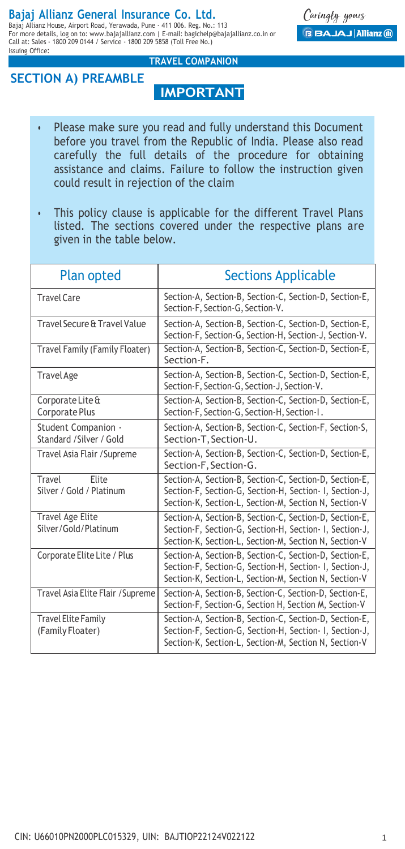## **Bajaj Allianz General Insurance Co. Ltd.**

Bajaj Allianz House, Airport Road, Yerawada, Pune - 411 006. Reg. No.: 113 For more details, log on to: www.bajajallianz.com | E-mail: bagichelp@bajajallianz.co.in or Call at: Sales - 1800 209 0144 / Service - 1800 209 5858 (Toll Free No.) Issuing Office:

Caringly yours **BAJAJ Allianz (ii)** 

## **SECTION A) PREAMBLE**

# **TRAVEL COMPANION**

- **IMPORTANT**
- Please make sure you read and fully understand this Document before you travel from the Republic of India. Please also read carefully the full details of the procedure for obtaining assistance and claims. Failure to follow the instruction given could result in rejection of the claim
- This policy clause is applicable for the different Travel Plans listed. The sections covered under the respective plans are given in the table below.

| <b>Plan opted</b>                               | <b>Sections Applicable</b>                                                                                                                                                 |  |
|-------------------------------------------------|----------------------------------------------------------------------------------------------------------------------------------------------------------------------------|--|
| <b>Travel Care</b>                              | Section-A, Section-B, Section-C, Section-D, Section-E,<br>Section-F, Section-G, Section-V.                                                                                 |  |
| Travel Secure & Travel Value                    | Section-A, Section-B, Section-C, Section-D, Section-E,<br>Section-F, Section-G, Section-H, Section-J, Section-V.                                                           |  |
| Travel Family (Family Floater)                  | Section-A, Section-B, Section-C, Section-D, Section-E,<br>Section-F.                                                                                                       |  |
| <b>Travel Age</b>                               | Section-A, Section-B, Section-C, Section-D, Section-E,<br>Section-F, Section-G, Section-J, Section-V.                                                                      |  |
| Corporate Lite &<br><b>Corporate Plus</b>       | Section-A, Section-B, Section-C, Section-D, Section-E,<br>Section-F, Section-G, Section-H, Section-I.                                                                      |  |
| Student Companion -<br>Standard /Silver / Gold  | Section-A, Section-B, Section-C, Section-F, Section-S,<br>Section-T, Section-U.                                                                                            |  |
| Travel Asia Flair / Supreme                     | Section-A, Section-B, Section-C, Section-D, Section-E,<br>Section-F, Section-G.                                                                                            |  |
| Travel<br>Flite<br>Silver / Gold / Platinum     | Section-A, Section-B, Section-C, Section-D, Section-E,<br>Section-F, Section-G, Section-H, Section-I, Section-J,<br>Section-K, Section-L, Section-M, Section N, Section-V  |  |
| <b>Travel Age Elite</b><br>Silver/Gold/Platinum | Section-A, Section-B, Section-C, Section-D, Section-E,<br>Section-F, Section-G, Section-H, Section-I, Section-J,<br>Section-K, Section-L, Section-M, Section N, Section-V  |  |
| Corporate Elite Lite / Plus                     | Section-A, Section-B, Section-C, Section-D, Section-E,<br>Section-F, Section-G, Section-H, Section- I, Section-J,<br>Section-K, Section-L, Section-M, Section N, Section-V |  |
| Travel Asia Elite Flair / Supreme               | Section-A, Section-B, Section-C, Section-D, Section-E,<br>Section-F, Section-G, Section H, Section M, Section-V                                                            |  |
| <b>Travel Elite Family</b><br>(Family Floater)  | Section-A, Section-B, Section-C, Section-D, Section-E,<br>Section-F, Section-G, Section-H, Section- I, Section-J,<br>Section-K, Section-L, Section-M, Section N, Section-V |  |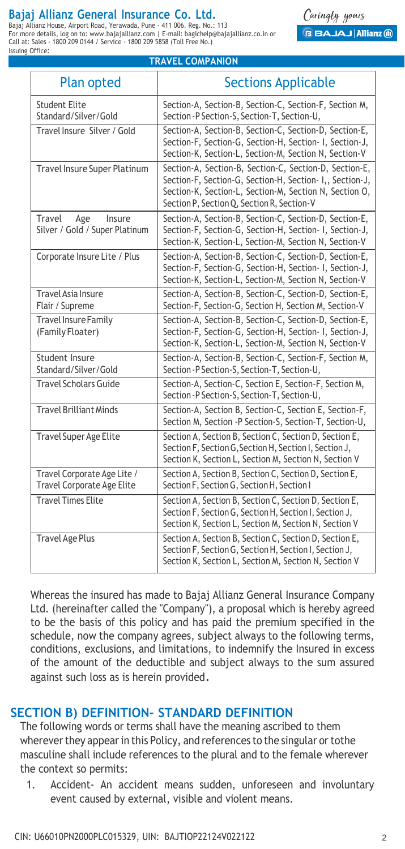## **Bajaj Allianz General Insurance Co. Ltd.**

Bajaj Allianz House, Airport Road, Yerawada, Pune - 411 006. Reg. No.: 113 For more details, log on to: www.bajajallianz.com | E-mail: bagichelp@bajajallianz.co.in or Call at: Sales - 1800 209 0144 / Service - 1800 209 5858 (Toll Free No.) Issuing Office: **TRAVEL COMPANION**

Caringly yours **BAJAJ Allianz (ii)** 

| Plan opted                                                       | <b>Sections Applicable</b>                                                                                                                                                                                                 |
|------------------------------------------------------------------|----------------------------------------------------------------------------------------------------------------------------------------------------------------------------------------------------------------------------|
| <b>Student Elite</b><br>Standard/Silver/Gold                     | Section-A, Section-B, Section-C, Section-F, Section M,<br>Section-P Section-S, Section-T, Section-U,                                                                                                                       |
| Travel Insure Silver / Gold                                      | Section-A, Section-B, Section-C, Section-D, Section-E,<br>Section-F, Section-G, Section-H, Section- I, Section-J,<br>Section-K, Section-L, Section-M, Section N, Section-V                                                 |
| <b>Travel Insure Super Platinum</b>                              | Section-A, Section-B, Section-C, Section-D, Section-E,<br>Section-F, Section-G, Section-H, Section- I,, Section-J,<br>Section-K, Section-L, Section-M, Section N, Section O,<br>Section P, Section Q, Section R, Section-V |
| Travel<br>Age<br>Insure<br>Silver / Gold / Super Platinum        | Section-A, Section-B, Section-C, Section-D, Section-E,<br>Section-F, Section-G, Section-H, Section- I, Section-J,<br>Section-K, Section-L, Section-M, Section N, Section-V                                                 |
| Corporate Insure Lite / Plus                                     | Section-A, Section-B, Section-C, Section-D, Section-E,<br>Section-F, Section-G, Section-H, Section- I, Section-J,<br>Section-K, Section-L, Section-M, Section N, Section-V                                                 |
| Travel Asia Insure<br>Flair / Supreme                            | Section-A, Section-B, Section-C, Section-D, Section-E,<br>Section-F, Section-G, Section H, Section M, Section-V                                                                                                            |
| <b>Travel Insure Family</b><br>(Family Floater)                  | Section-A, Section-B, Section-C, Section-D, Section-E,<br>Section-F, Section-G, Section-H, Section- I, Section-J,<br>Section-K, Section-L, Section-M, Section N, Section-V                                                 |
| Student Insure<br>Standard/Silver/Gold                           | Section-A, Section-B, Section-C, Section-F, Section M,<br>Section-P Section-S, Section-T, Section-U,                                                                                                                       |
| <b>Travel Scholars Guide</b>                                     | Section-A, Section-C, Section E, Section-F, Section M,<br>Section-P Section-S, Section-T, Section-U,                                                                                                                       |
| <b>Travel Brilliant Minds</b>                                    | Section-A, Section B, Section-C, Section E, Section-F,<br>Section M, Section -P Section-S, Section-T, Section-U,                                                                                                           |
| <b>Travel Super Age Elite</b>                                    | Section A, Section B, Section C, Section D, Section E,<br>Section F, Section G, Section H, Section I, Section J,<br>Section K, Section L, Section M, Section N, Section V                                                  |
| Travel Corporate Age Lite /<br><b>Travel Corporate Age Elite</b> | Section A, Section B, Section C, Section D, Section E,<br>Section F, Section G, Section H, Section I                                                                                                                       |
| <b>Travel Times Elite</b>                                        | Section A, Section B, Section C, Section D, Section E,<br>Section F, Section G, Section H, Section I, Section J,<br>Section K, Section L, Section M, Section N, Section V                                                  |
| <b>Travel Age Plus</b>                                           | Section A, Section B, Section C, Section D, Section E,<br>Section F, Section G, Section H, Section I, Section J,<br>Section K, Section L, Section M, Section N, Section V                                                  |

Whereas the insured has made to Bajaj Allianz General Insurance Company Ltd. (hereinafter called the "Company"), a proposal which is hereby agreed to be the basis of this policy and has paid the premium specified in the schedule, now the company agrees, subject always to the following terms, conditions, exclusions, and limitations, to indemnify the Insured in excess of the amount of the deductible and subject always to the sum assured against such loss as is herein provided.

## **SECTION B) DEFINITION- STANDARD DEFINITION**

The following words or terms shall have the meaning ascribed to them wherever they appear in this Policy, and references to the singular or tothe masculine shall include references to the plural and to the female wherever the context so permits:

1. Accident- An accident means sudden, unforeseen and involuntary event caused by external, visible and violent means.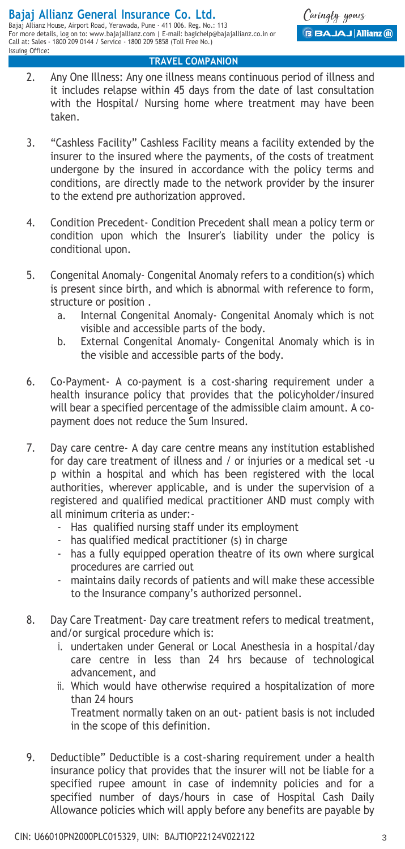- 2. Any One Illness: Any one illness means continuous period of illness and it includes relapse within 45 days from the date of last consultation with the Hospital/ Nursing home where treatment may have been taken.
- 3. "Cashless Facility" Cashless Facility means a facility extended by the insurer to the insured where the payments, of the costs of treatment undergone by the insured in accordance with the policy terms and conditions, are directly made to the network provider by the insurer to the extend pre authorization approved.
- 4. Condition Precedent- Condition Precedent shall mean a policy term or condition upon which the Insurer's liability under the policy is conditional upon.
- 5. Congenital Anomaly- Congenital Anomaly refers to a condition(s) which is present since birth, and which is abnormal with reference to form, structure or position .
	- a. Internal Congenital Anomaly- Congenital Anomaly which is not visible and accessible parts of the body.
	- b. External Congenital Anomaly- Congenital Anomaly which is in the visible and accessible parts of the body.
- 6. Co-Payment- A co-payment is a cost-sharing requirement under a health insurance policy that provides that the policyholder/insured will bear a specified percentage of the admissible claim amount. A copayment does not reduce the Sum Insured.
- 7. Day care centre- A day care centre means any institution established for day care treatment of illness and / or injuries or a medical set -u p within a hospital and which has been registered with the local authorities, wherever applicable, and is under the supervision of a registered and qualified medical practitioner AND must comply with all minimum criteria as under:-
	- Has qualified nursing staff under its employment
	- has qualified medical practitioner (s) in charge
	- has a fully equipped operation theatre of its own where surgical procedures are carried out
	- maintains daily records of patients and will make these accessible to the Insurance company's authorized personnel.
- 8. Day Care Treatment- Day care treatment refers to medical treatment, and/or surgical procedure which is:
	- i. undertaken under General or Local Anesthesia in a hospital/day care centre in less than 24 hrs because of technological advancement, and
	- ii. Which would have otherwise required a hospitalization of more than 24 hours Treatment normally taken on an out- patient basis is not included in the scope of this definition.
- 9. Deductible" Deductible is a cost-sharing requirement under a health insurance policy that provides that the insurer will not be liable for a specified rupee amount in case of indemnity policies and for a specified number of days/hours in case of Hospital Cash Daily Allowance policies which will apply before any benefits are payable by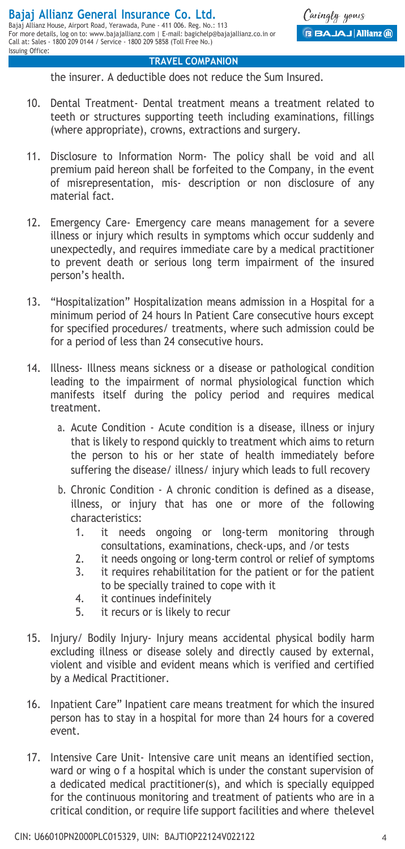the insurer. A deductible does not reduce the Sum Insured.

- 10. Dental Treatment- Dental treatment means a treatment related to teeth or structures supporting teeth including examinations, fillings (where appropriate), crowns, extractions and surgery.
- 11. Disclosure to Information Norm- The policy shall be void and all premium paid hereon shall be forfeited to the Company, in the event of misrepresentation, mis- description or non disclosure of any material fact.
- 12. Emergency Care- Emergency care means management for a severe illness or injury which results in symptoms which occur suddenly and unexpectedly, and requires immediate care by a medical practitioner to prevent death or serious long term impairment of the insured person's health.
- 13. "Hospitalization" Hospitalization means admission in a Hospital for a minimum period of 24 hours In Patient Care consecutive hours except for specified procedures/ treatments, where such admission could be for a period of less than 24 consecutive hours.
- 14. Illness- Illness means sickness or a disease or pathological condition leading to the impairment of normal physiological function which manifests itself during the policy period and requires medical treatment.
	- a. Acute Condition Acute condition is a disease, illness or injury that is likely to respond quickly to treatment which aims to return the person to his or her state of health immediately before suffering the disease/ illness/ injury which leads to full recovery
	- b. Chronic Condition A chronic condition is defined as a disease, illness, or injury that has one or more of the following characteristics:
		- 1. it needs ongoing or long-term monitoring through consultations, examinations, check-ups, and /or tests
		- 2. it needs ongoing or long-term control or relief of symptoms
		- 3. it requires rehabilitation for the patient or for the patient to be specially trained to cope with it
		- 4. it continues indefinitely
		- 5. it recurs or is likely to recur
- 15. Injury/ Bodily Injury- Injury means accidental physical bodily harm excluding illness or disease solely and directly caused by external, violent and visible and evident means which is verified and certified by a Medical Practitioner.
- 16. Inpatient Care" Inpatient care means treatment for which the insured person has to stay in a hospital for more than 24 hours for a covered event.
- 17. Intensive Care Unit- Intensive care unit means an identified section, ward or wing o f a hospital which is under the constant supervision of a dedicated medical practitioner(s), and which is specially equipped for the continuous monitoring and treatment of patients who are in a critical condition, or require life support facilities and where thelevel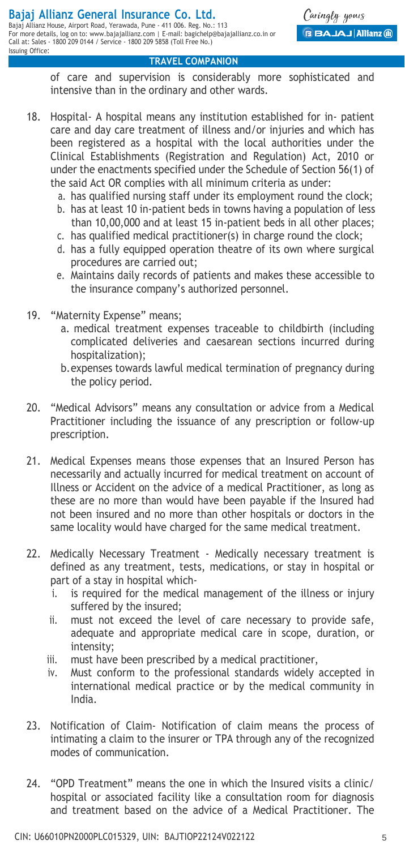Issuing Office:

#### **TRAVEL COMPANION**

of care and supervision is considerably more sophisticated and intensive than in the ordinary and other wards.

- 18. Hospital- A hospital means any institution established for in- patient care and day care treatment of illness and/or injuries and which has been registered as a hospital with the local authorities under the Clinical Establishments (Registration and Regulation) Act, 2010 or under the enactments specified under the Schedule of Section 56(1) of the said Act OR complies with all minimum criteria as under:
	- a. has qualified nursing staff under its employment round the clock;
	- b. has at least 10 in-patient beds in towns having a population of less than 10,00,000 and at least 15 in-patient beds in all other places;
	- c. has qualified medical practitioner(s) in charge round the clock;
	- d. has a fully equipped operation theatre of its own where surgical procedures are carried out;
	- e. Maintains daily records of patients and makes these accessible to the insurance company's authorized personnel.
- 19. "Maternity Expense" means;
	- a. medical treatment expenses traceable to childbirth (including complicated deliveries and caesarean sections incurred during hospitalization);
	- b.expenses towards lawful medical termination of pregnancy during the policy period.
- 20. "Medical Advisors" means any consultation or advice from a Medical Practitioner including the issuance of any prescription or follow-up prescription.
- 21. Medical Expenses means those expenses that an Insured Person has necessarily and actually incurred for medical treatment on account of Illness or Accident on the advice of a medical Practitioner, as long as these are no more than would have been payable if the Insured had not been insured and no more than other hospitals or doctors in the same locality would have charged for the same medical treatment.
- 22. Medically Necessary Treatment Medically necessary treatment is defined as any treatment, tests, medications, or stay in hospital or part of a stay in hospital which
	- i. is required for the medical management of the illness or injury suffered by the insured;
	- ii. must not exceed the level of care necessary to provide safe, adequate and appropriate medical care in scope, duration, or intensity;
	- iii. must have been prescribed by a medical practitioner,
	- iv. Must conform to the professional standards widely accepted in international medical practice or by the medical community in India.
- 23. Notification of Claim- Notification of claim means the process of intimating a claim to the insurer or TPA through any of the recognized modes of communication.
- 24. "OPD Treatment" means the one in which the Insured visits a clinic/ hospital or associated facility like a consultation room for diagnosis and treatment based on the advice of a Medical Practitioner. The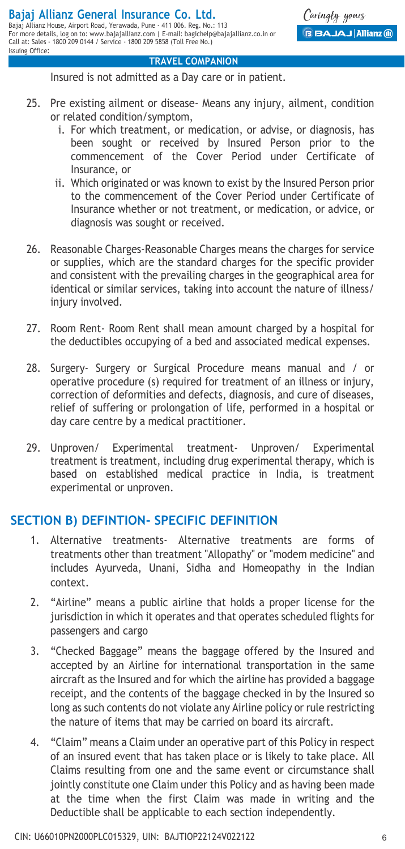Insured is not admitted as a Day care or in patient.

- 25. Pre existing ailment or disease- Means any injury, ailment, condition or related condition/symptom,
	- i. For which treatment, or medication, or advise, or diagnosis, has been sought or received by Insured Person prior to the commencement of the Cover Period under Certificate of Insurance, or
	- ii. Which originated or was known to exist by the Insured Person prior to the commencement of the Cover Period under Certificate of Insurance whether or not treatment, or medication, or advice, or diagnosis was sought or received.
- 26. Reasonable Charges-Reasonable Charges means the charges for service or supplies, which are the standard charges for the specific provider and consistent with the prevailing charges in the geographical area for identical or similar services, taking into account the nature of illness/ injury involved.
- 27. Room Rent- Room Rent shall mean amount charged by a hospital for the deductibles occupying of a bed and associated medical expenses.
- 28. Surgery- Surgery or Surgical Procedure means manual and / or operative procedure (s) required for treatment of an illness or injury, correction of deformities and defects, diagnosis, and cure of diseases, relief of suffering or prolongation of life, performed in a hospital or day care centre by a medical practitioner.
- 29. Unproven/ Experimental treatment- Unproven/ Experimental treatment is treatment, including drug experimental therapy, which is based on established medical practice in India, is treatment experimental or unproven.

## **SECTION B) DEFINTION- SPECIFIC DEFINITION**

- 1. Alternative treatments- Alternative treatments are forms of treatments other than treatment "Allopathy" or "modem medicine" and includes Ayurveda, Unani, Sidha and Homeopathy in the Indian context.
- 2. "Airline" means a public airline that holds a proper license for the jurisdiction in which it operates and that operates scheduled flights for passengers and cargo
- 3. "Checked Baggage" means the baggage offered by the Insured and accepted by an Airline for international transportation in the same aircraft as the Insured and for which the airline has provided a baggage receipt, and the contents of the baggage checked in by the Insured so long as such contents do not violate any Airline policy or rule restricting the nature of items that may be carried on board its aircraft.
- 4. "Claim" means a Claim under an operative part of this Policy in respect of an insured event that has taken place or is likely to take place. All Claims resulting from one and the same event or circumstance shall jointly constitute one Claim under this Policy and as having been made at the time when the first Claim was made in writing and the Deductible shall be applicable to each section independently.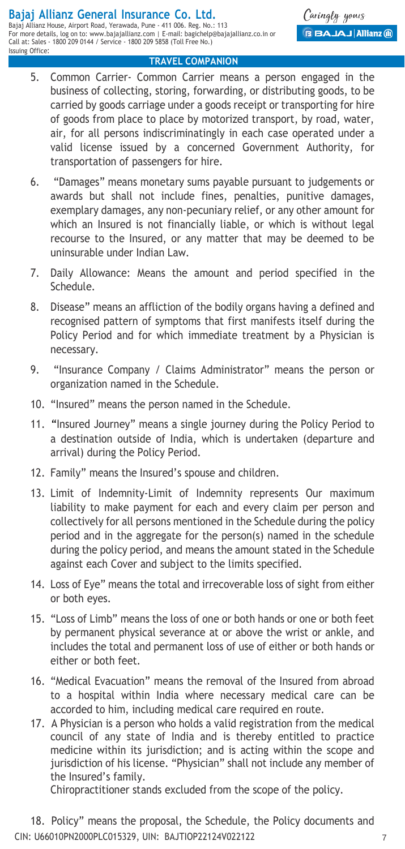- 5. Common Carrier- Common Carrier means a person engaged in the business of collecting, storing, forwarding, or distributing goods, to be carried by goods carriage under a goods receipt or transporting for hire of goods from place to place by motorized transport, by road, water, air, for all persons indiscriminatingly in each case operated under a valid license issued by a concerned Government Authority, for transportation of passengers for hire.
- 6. "Damages" means monetary sums payable pursuant to judgements or awards but shall not include fines, penalties, punitive damages, exemplary damages, any non-pecuniary relief, or any other amount for which an Insured is not financially liable, or which is without legal recourse to the Insured, or any matter that may be deemed to be uninsurable under Indian Law.
- 7. Daily Allowance: Means the amount and period specified in the Schedule.
- 8. Disease" means an affliction of the bodily organs having a defined and recognised pattern of symptoms that first manifests itself during the Policy Period and for which immediate treatment by a Physician is necessary.
- 9. "Insurance Company / Claims Administrator" means the person or organization named in the Schedule.
- 10. "Insured" means the person named in the Schedule.
- 11. "Insured Journey" means a single journey during the Policy Period to a destination outside of India, which is undertaken (departure and arrival) during the Policy Period.
- 12. Family" means the Insured's spouse and children.
- 13. Limit of Indemnity-Limit of Indemnity represents Our maximum liability to make payment for each and every claim per person and collectively for all persons mentioned in the Schedule during the policy period and in the aggregate for the person(s) named in the schedule during the policy period, and means the amount stated in the Schedule against each Cover and subject to the limits specified.
- 14. Loss of Eye" means the total and irrecoverable loss of sight from either or both eyes.
- 15. "Loss of Limb" means the loss of one or both hands or one or both feet by permanent physical severance at or above the wrist or ankle, and includes the total and permanent loss of use of either or both hands or either or both feet.
- 16. "Medical Evacuation" means the removal of the Insured from abroad to a hospital within India where necessary medical care can be accorded to him, including medical care required en route.
- 17. A Physician is a person who holds a valid registration from the medical council of any state of India and is thereby entitled to practice medicine within its jurisdiction; and is acting within the scope and jurisdiction of his license. "Physician" shall not include any member of the Insured's family.

Chiropractitioner stands excluded from the scope of the policy.

CIN: U66010PN2000PLC015329, UIN: BAJTIOP22124V022122 7 18. Policy" means the proposal, the Schedule, the Policy documents and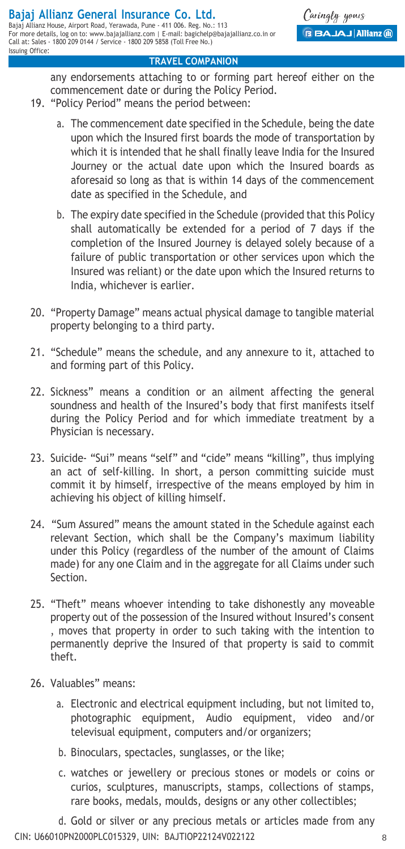any endorsements attaching to or forming part hereof either on the commencement date or during the Policy Period.

- 19. "Policy Period" means the period between:
	- a. The commencement date specified in the Schedule, being the date upon which the Insured first boards the mode of transportation by which it is intended that he shall finally leave India for the Insured Journey or the actual date upon which the Insured boards as aforesaid so long as that is within 14 days of the commencement date as specified in the Schedule, and
	- b. The expiry date specified in the Schedule (provided that this Policy shall automatically be extended for a period of 7 days if the completion of the Insured Journey is delayed solely because of a failure of public transportation or other services upon which the Insured was reliant) or the date upon which the Insured returns to India, whichever is earlier.
- 20. "Property Damage" means actual physical damage to tangible material property belonging to a third party.
- 21. "Schedule" means the schedule, and any annexure to it, attached to and forming part of this Policy.
- 22. Sickness" means a condition or an ailment affecting the general soundness and health of the Insured's body that first manifests itself during the Policy Period and for which immediate treatment by a Physician is necessary.
- 23. Suicide- "Sui" means "self" and "cide" means "killing", thus implying an act of self-killing. In short, a person committing suicide must commit it by himself, irrespective of the means employed by him in achieving his object of killing himself.
- 24. "Sum Assured" means the amount stated in the Schedule against each relevant Section, which shall be the Company's maximum liability under this Policy (regardless of the number of the amount of Claims made) for any one Claim and in the aggregate for all Claims under such Section.
- 25. "Theft" means whoever intending to take dishonestly any moveable property out of the possession of the Insured without Insured's consent , moves that property in order to such taking with the intention to permanently deprive the Insured of that property is said to commit theft.
- 26. Valuables" means:
	- a. Electronic and electrical equipment including, but not limited to, photographic equipment, Audio equipment, video and/or televisual equipment, computers and/or organizers;
	- b. Binoculars, spectacles, sunglasses, or the like;
	- c. watches or jewellery or precious stones or models or coins or curios, sculptures, manuscripts, stamps, collections of stamps, rare books, medals, moulds, designs or any other collectibles;

CIN: U66010PN2000PLC015329, UIN: BAJTIOP22124V022122 8 d. Gold or silver or any precious metals or articles made from any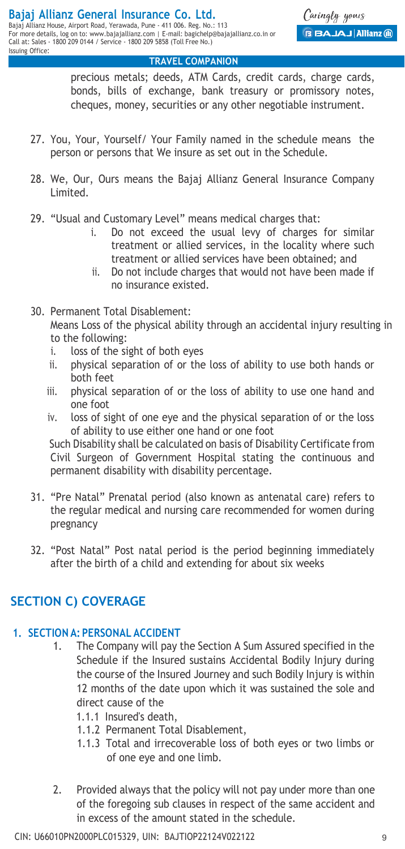precious metals; deeds, ATM Cards, credit cards, charge cards, bonds, bills of exchange, bank treasury or promissory notes, cheques, money, securities or any other negotiable instrument.

- 27. You, Your, Yourself/ Your Family named in the schedule means the person or persons that We insure as set out in the Schedule.
- 28. We, Our, Ours means the Bajaj Allianz General Insurance Company Limited.
- 29. "Usual and Customary Level" means medical charges that:
	- i. Do not exceed the usual levy of charges for similar treatment or allied services, in the locality where such treatment or allied services have been obtained; and
	- ii. Do not include charges that would not have been made if no insurance existed.
- 30. Permanent Total Disablement: Means Loss of the physical ability through an accidental injury resulting in to the following:
	- i. loss of the sight of both eyes
	- ii. physical separation of or the loss of ability to use both hands or both feet
	- iii. physical separation of or the loss of ability to use one hand and one foot
	- iv. loss of sight of one eye and the physical separation of or the loss of ability to use either one hand or one foot

Such Disability shall be calculated on basis of Disability Certificate from Civil Surgeon of Government Hospital stating the continuous and permanent disability with disability percentage.

- 31. "Pre Natal" Prenatal period (also known as antenatal care) refers to the regular medical and nursing care recommended for women during pregnancy
- 32. "Post Natal" Post natal period is the period beginning immediately after the birth of a child and extending for about six weeks

## **SECTION C) COVERAGE**

## **1. SECTION A: PERSONAL ACCIDENT**

- 1. The Company will pay the Section A Sum Assured specified in the Schedule if the Insured sustains Accidental Bodily Injury during the course of the Insured Journey and such Bodily Injury is within 12 months of the date upon which it was sustained the sole and direct cause of the
	- 1.1.1 Insured's death,
	- 1.1.2 Permanent Total Disablement,
	- 1.1.3 Total and irrecoverable loss of both eyes or two limbs or of one eye and one limb.
- 2. Provided always that the policy will not pay under more than one of the foregoing sub clauses in respect of the same accident and in excess of the amount stated in the schedule.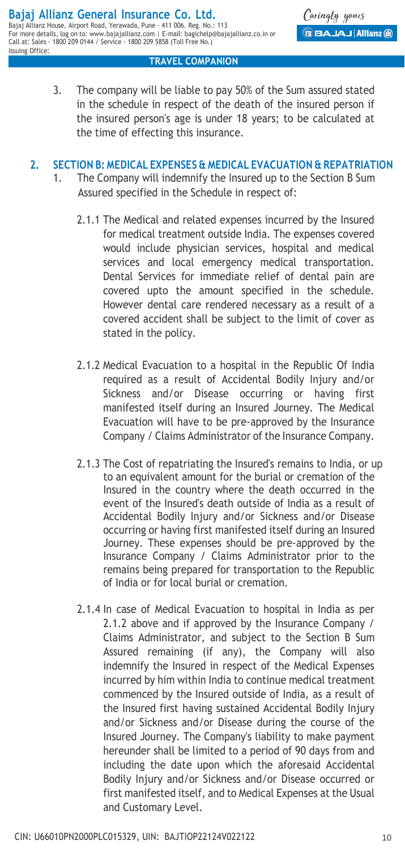Caringly yours **BAJAJ Allianz (ii)** 

## 3. The company will be liable to pay 50% of the Sum assured stated in the schedule in respect of the death of the insured person if the insured person's age is under 18 years; to be calculated at the time of effecting this insurance.

**TRAVEL COMPANION**

## **2. SECTION B: MEDICAL EXPENSES & MEDICAL EVACUATION & REPATRIATION**

- 1. The Company will indemnify the Insured up to the Section B Sum Assured specified in the Schedule in respect of:
	- 2.1.1 The Medical and related expenses incurred by the Insured for medical treatment outside India. The expenses covered would include physician services, hospital and medical services and local emergency medical transportation. Dental Services for immediate relief of dental pain are covered upto the amount specified in the schedule. However dental care rendered necessary as a result of a covered accident shall be subject to the limit of cover as stated in the policy.
	- 2.1.2 Medical Evacuation to a hospital in the Republic Of India required as a result of Accidental Bodily Injury and/or Sickness and/or Disease occurring or having first manifested itself during an Insured Journey. The Medical Evacuation will have to be pre-approved by the Insurance Company / Claims Administrator of the Insurance Company.
	- 2.1.3 The Cost of repatriating the Insured's remains to India, or up to an equivalent amount for the burial or cremation of the Insured in the country where the death occurred in the event of the Insured's death outside of India as a result of Accidental Bodily Injury and/or Sickness and/or Disease occurring or having first manifested itself during an Insured Journey. These expenses should be pre-approved by the Insurance Company / Claims Administrator prior to the remains being prepared for transportation to the Republic of India or for local burial or cremation.
	- 2.1.4 In case of Medical Evacuation to hospital in India as per 2.1.2 above and if approved by the Insurance Company / Claims Administrator, and subject to the Section B Sum Assured remaining (if any), the Company will also indemnify the Insured in respect of the Medical Expenses incurred by him within India to continue medical treatment commenced by the Insured outside of India, as a result of the Insured first having sustained Accidental Bodily Injury and/or Sickness and/or Disease during the course of the Insured Journey. The Company's liability to make payment hereunder shall be limited to a period of 90 days from and including the date upon which the aforesaid Accidental Bodily Injury and/or Sickness and/or Disease occurred or first manifested itself, and to Medical Expenses at the Usual and Customary Level.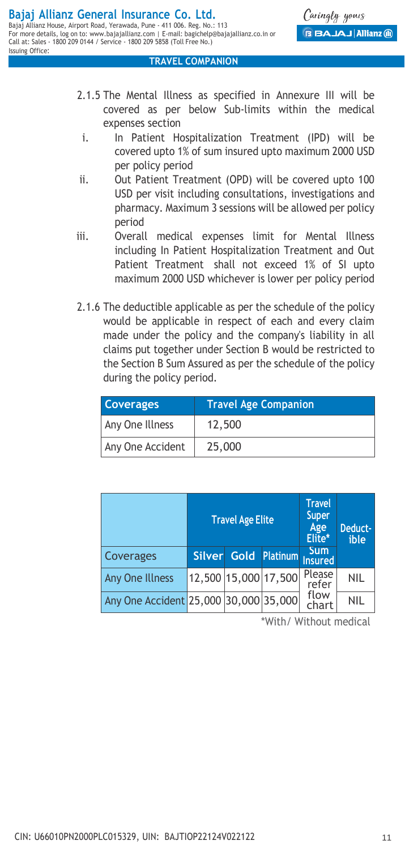Caringly yours **BAJAJ Allianz** (ii)

#### **TRAVEL COMPANION**

- 2.1.5 The Mental Illness as specified in Annexure III will be covered as per below Sub-limits within the medical expenses section
	- i. In Patient Hospitalization Treatment (IPD) will be covered upto 1% of sum insured upto maximum 2000 USD per policy period
- ii. Out Patient Treatment (OPD) will be covered upto 100 USD per visit including consultations, investigations and pharmacy. Maximum 3 sessions will be allowed per policy period
- iii. Overall medical expenses limit for Mental Illness including In Patient Hospitalization Treatment and Out Patient Treatment shall not exceed 1% of SI upto maximum 2000 USD whichever is lower per policy period
- 2.1.6 The deductible applicable as per the schedule of the policy would be applicable in respect of each and every claim made under the policy and the company's liability in all claims put together under Section B would be restricted to the Section B Sum Assured as per the schedule of the policy during the policy period.

| <b>Coverages</b> | <b>Travel Age Companion</b> |  |
|------------------|-----------------------------|--|
| Any One Illness  | 12,500                      |  |
| Any One Accident | 25,000                      |  |

|                                       | <b>Travel Age Elite</b> |  |                             | <b>Travel</b><br><b>Super</b><br>Age<br>Elite* | Deduct-<br>ible |
|---------------------------------------|-------------------------|--|-----------------------------|------------------------------------------------|-----------------|
| Coverages                             |                         |  | Silver Gold Platinum nsured | <b>Sum</b>                                     |                 |
| <b>Any One Illness</b>                |                         |  | 12,500 15,000 17,500        | Please<br>refer                                | <b>NIL</b>      |
| Any One Accident 25,000 30,000 35,000 |                         |  |                             | flow<br>chart                                  | <b>NIL</b>      |

\*With/ Without medical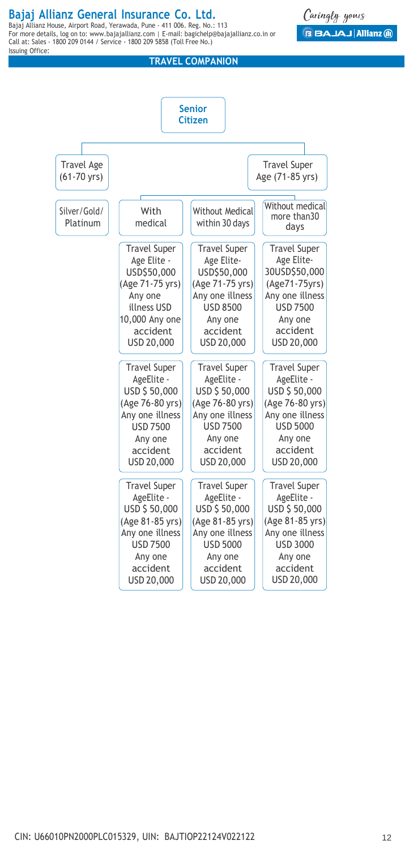## **Bajaj Allianz General Insurance Co. Ltd.**

Bajaj Allianz House, Airport Road, Yerawada, Pune - 411 006. Reg. No.: 113 For more details, log on to: www.bajajallianz.com | E-mail: bagichelp@bajajallianz.co.in or Call at: Sales - 1800 209 0144 / Service - 1800 209 5858 (Toll Free No.) Issuing Office:

#### **TRAVEL COMPANION**



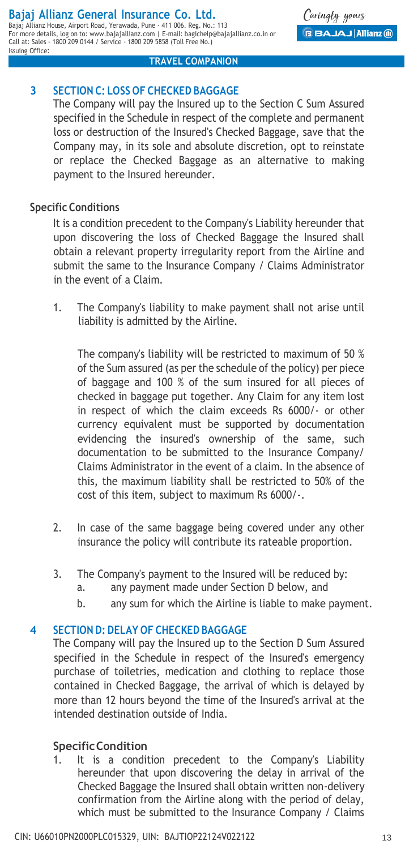#### **Bajaj Allianz General Insurance Co. Ltd.** Bajaj Allianz House, Airport Road, Yerawada, Pune - 411 006. Reg. No.: 113 For more details, log on to: www.bajajallianz.com | E-mail: bagichelp@bajajallianz.co.in or

Call at: Sales - 1800 209 0144 / Service - 1800 209 5858 (Toll Free No.)

**3 SECTION C: LOSS OF CHECKED BAGGAGE**

The Company will pay the Insured up to the Section C Sum Assured specified in the Schedule in respect of the complete and permanent loss or destruction of the Insured's Checked Baggage, save that the Company may, in its sole and absolute discretion, opt to reinstate or replace the Checked Baggage as an alternative to making payment to the Insured hereunder.

**TRAVEL COMPANION**

## **Specific Conditions**

Issuing Office:

It is a condition precedent to the Company's Liability hereunder that upon discovering the loss of Checked Baggage the Insured shall obtain a relevant property irregularity report from the Airline and submit the same to the Insurance Company / Claims Administrator in the event of a Claim.

1. The Company's liability to make payment shall not arise until liability is admitted by the Airline.

The company's liability will be restricted to maximum of 50 % of the Sum assured (as per the schedule of the policy) per piece of baggage and 100 % of the sum insured for all pieces of checked in baggage put together. Any Claim for any item lost in respect of which the claim exceeds Rs 6000/- or other currency equivalent must be supported by documentation evidencing the insured's ownership of the same, such documentation to be submitted to the Insurance Company/ Claims Administrator in the event of a claim. In the absence of this, the maximum liability shall be restricted to 50% of the cost of this item, subject to maximum Rs 6000/-.

- 2. In case of the same baggage being covered under any other insurance the policy will contribute its rateable proportion.
- 3. The Company's payment to the Insured will be reduced by:
	- a. any payment made under Section D below, and
	- b. any sum for which the Airline is liable to make payment.

## **4 SECTION D: DELAY OF CHECKED BAGGAGE**

The Company will pay the Insured up to the Section D Sum Assured specified in the Schedule in respect of the Insured's emergency purchase of toiletries, medication and clothing to replace those contained in Checked Baggage, the arrival of which is delayed by more than 12 hours beyond the time of the Insured's arrival at the intended destination outside of India.

## **SpecificCondition**

1. It is a condition precedent to the Company's Liability hereunder that upon discovering the delay in arrival of the Checked Baggage the Insured shall obtain written non-delivery confirmation from the Airline along with the period of delay, which must be submitted to the Insurance Company / Claims

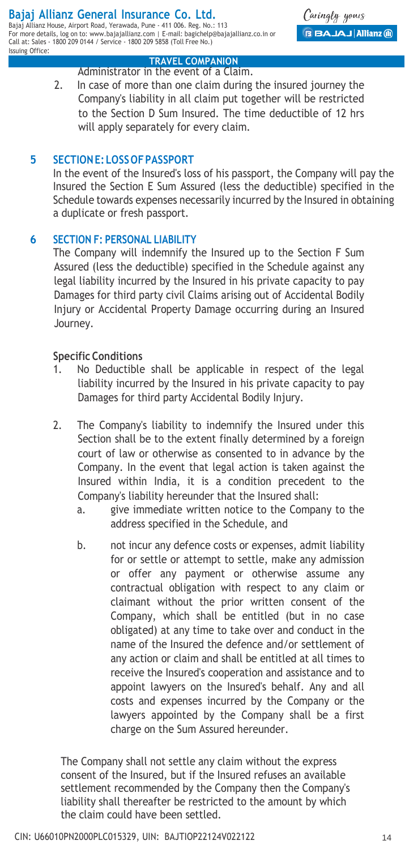Bajaj Allianz House, Airport Road, Yerawada, Pune - 411 006. Reg. No.: 113 For more details, log on to: www.bajajallianz.com | E-mail: bagichelp@bajajallianz.co.in or Call at: Sales - 1800 209 0144 / Service - 1800 209 5858 (Toll Free No.) Issuing Office:

Caringly yours **BAJAJ Allianz** (ii)

#### **TRAVEL COMPANION**

Administrator in the event of a Claim. 2. In case of more than one claim during the insured journey the Company's liability in all claim put together will be restricted to the Section D Sum Insured. The time deductible of 12 hrs will apply separately for every claim.

## **5 SECTIONE: LOSS OFPASSPORT**

In the event of the Insured's loss of his passport, the Company will pay the Insured the Section E Sum Assured (less the deductible) specified in the Schedule towards expenses necessarily incurred by the Insured in obtaining a duplicate or fresh passport.

### **6 SECTION F: PERSONAL LIABILITY**

The Company will indemnify the Insured up to the Section F Sum Assured (less the deductible) specified in the Schedule against any legal liability incurred by the Insured in his private capacity to pay Damages for third party civil Claims arising out of Accidental Bodily Injury or Accidental Property Damage occurring during an Insured Journey.

### **Specific Conditions**

- 1. No Deductible shall be applicable in respect of the legal liability incurred by the Insured in his private capacity to pay Damages for third party Accidental Bodily Injury.
- 2. The Company's liability to indemnify the Insured under this Section shall be to the extent finally determined by a foreign court of law or otherwise as consented to in advance by the Company. In the event that legal action is taken against the Insured within India, it is a condition precedent to the Company's liability hereunder that the Insured shall:
	- a. give immediate written notice to the Company to the address specified in the Schedule, and
	- b. not incur any defence costs or expenses, admit liability for or settle or attempt to settle, make any admission or offer any payment or otherwise assume any contractual obligation with respect to any claim or claimant without the prior written consent of the Company, which shall be entitled (but in no case obligated) at any time to take over and conduct in the name of the Insured the defence and/or settlement of any action or claim and shall be entitled at all times to receive the Insured's cooperation and assistance and to appoint lawyers on the Insured's behalf. Any and all costs and expenses incurred by the Company or the lawyers appointed by the Company shall be a first charge on the Sum Assured hereunder.

The Company shall not settle any claim without the express consent of the Insured, but if the Insured refuses an available settlement recommended by the Company then the Company's liability shall thereafter be restricted to the amount by which the claim could have been settled.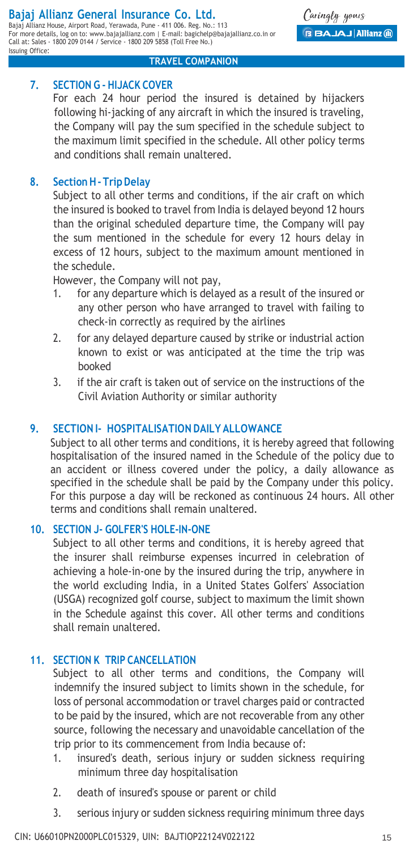#### **Bajaj Allianz General Insurance Co. Ltd.** Bajaj Allianz House, Airport Road, Yerawada, Pune - 411 006. Reg. No.: 113

For more details, log on to: www.bajajallianz.com | E-mail: bagichelp@bajajallianz.co.in or Call at: Sales - 1800 209 0144 / Service - 1800 209 5858 (Toll Free No.) Issuing Office:

Caringly yours **BBAJAJ Allianz** (ii)

#### **TRAVEL COMPANION**

## **7. SECTION G - HIJACK COVER**

For each 24 hour period the insured is detained by hijackers following hi-jacking of any aircraft in which the insured is traveling, the Company will pay the sum specified in the schedule subject to the maximum limit specified in the schedule. All other policy terms and conditions shall remain unaltered.

## **8. SectionH- TripDelay**

Subject to all other terms and conditions, if the air craft on which the insured is booked to travel from India is delayed beyond 12 hours than the original scheduled departure time, the Company will pay the sum mentioned in the schedule for every 12 hours delay in excess of 12 hours, subject to the maximum amount mentioned in the schedule.

However, the Company will not pay,

- 1. for any departure which is delayed as a result of the insured or any other person who have arranged to travel with failing to check-in correctly as required by the airlines
- 2. for any delayed departure caused by strike or industrial action known to exist or was anticipated at the time the trip was booked
- 3. if the air craft is taken out of service on the instructions of the Civil Aviation Authority or similar authority

## **9. SECTION I- HOSPITALISATION DAILY ALLOWANCE**

Subject to all other terms and conditions, it is hereby agreed that following hospitalisation of the insured named in the Schedule of the policy due to an accident or illness covered under the policy, a daily allowance as specified in the schedule shall be paid by the Company under this policy. For this purpose a day will be reckoned as continuous 24 hours. All other terms and conditions shall remain unaltered.

## **10. SECTION J- GOLFER'S HOLE-IN-ONE**

Subject to all other terms and conditions, it is hereby agreed that the insurer shall reimburse expenses incurred in celebration of achieving a hole-in-one by the insured during the trip, anywhere in the world excluding India, in a United States Golfers' Association (USGA) recognized golf course, subject to maximum the limit shown in the Schedule against this cover. All other terms and conditions shall remain unaltered.

## **11. SECTION K TRIP CANCELLATION**

Subject to all other terms and conditions, the Company will indemnify the insured subject to limits shown in the schedule, for loss of personal accommodation or travel charges paid or contracted to be paid by the insured, which are not recoverable from any other source, following the necessary and unavoidable cancellation of the trip prior to its commencement from India because of:

- 1. insured's death, serious injury or sudden sickness requiring minimum three day hospitalisation
- 2. death of insured's spouse or parent or child
- 3. serious injury or sudden sickness requiring minimum three days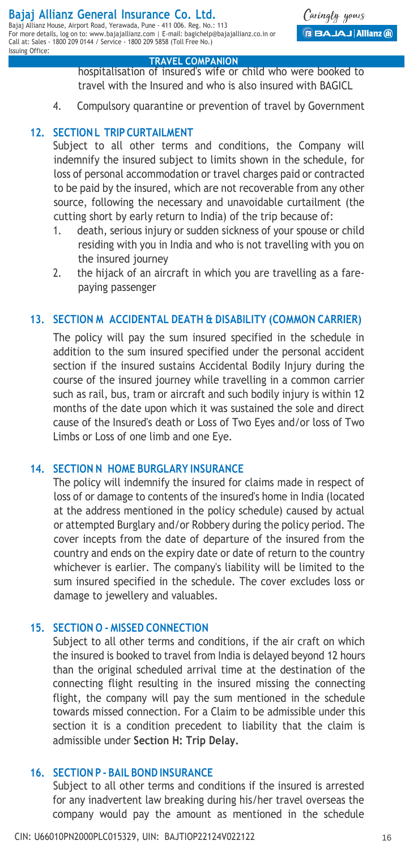Call at: Sales - 1800 209 0144 / Service - 1800 209 5858 (Toll Free No.)

Issuing Office:

#### **TRAVEL COMPANION**

hospitalisation of insured's wife or child who were booked to travel with the Insured and who is also insured with BAGICL

4. Compulsory quarantine or prevention of travel by Government

## **12. SECTIONL TRIP CURTAILMENT**

Subject to all other terms and conditions, the Company will indemnify the insured subject to limits shown in the schedule, for loss of personal accommodation or travel charges paid or contracted to be paid by the insured, which are not recoverable from any other source, following the necessary and unavoidable curtailment (the cutting short by early return to India) of the trip because of:

- 1. death, serious injury or sudden sickness of your spouse or child residing with you in India and who is not travelling with you on the insured journey
- 2. the hijack of an aircraft in which you are travelling as a farepaying passenger

### **13. SECTION M ACCIDENTAL DEATH & DISABILITY (COMMON CARRIER)**

The policy will pay the sum insured specified in the schedule in addition to the sum insured specified under the personal accident section if the insured sustains Accidental Bodily Injury during the course of the insured journey while travelling in a common carrier such as rail, bus, tram or aircraft and such bodily injury is within 12 months of the date upon which it was sustained the sole and direct cause of the Insured's death or Loss of Two Eyes and/or loss of Two Limbs or Loss of one limb and one Eye.

### **14. SECTION N HOME BURGLARY INSURANCE**

The policy will indemnify the insured for claims made in respect of loss of or damage to contents of the insured's home in India (located at the address mentioned in the policy schedule) caused by actual or attempted Burglary and/or Robbery during the policy period. The cover incepts from the date of departure of the insured from the country and ends on the expiry date or date of return to the country whichever is earlier. The company's liability will be limited to the sum insured specified in the schedule. The cover excludes loss or damage to jewellery and valuables.

#### **15. SECTION O - MISSED CONNECTION**

Subject to all other terms and conditions, if the air craft on which the insured is booked to travel from India is delayed beyond 12 hours than the original scheduled arrival time at the destination of the connecting flight resulting in the insured missing the connecting flight, the company will pay the sum mentioned in the schedule towards missed connection. For a Claim to be admissible under this section it is a condition precedent to liability that the claim is admissible under **Section H: Trip Delay.**

#### **16. SECTION P - BAIL BOND INSURANCE**

Subject to all other terms and conditions if the insured is arrested for any inadvertent law breaking during his/her travel overseas the company would pay the amount as mentioned in the schedule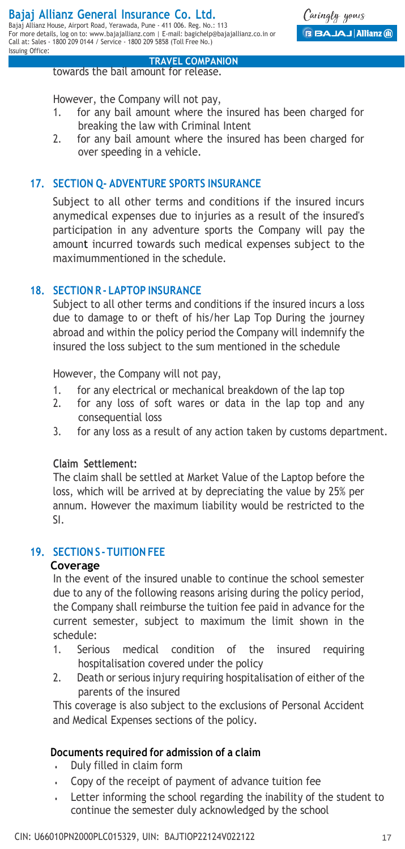Issuing Office:

Caringly yours **BBAJAJ Allianz** (ii)

 **TRAVEL COMPANION** towards the bail amount for release.

However, the Company will not pay,

- 1. for any bail amount where the insured has been charged for breaking the law with Criminal Intent
- 2. for any bail amount where the insured has been charged for over speeding in a vehicle.

## **17. SECTION Q- ADVENTURE SPORTS INSURANCE**

Subject to all other terms and conditions if the insured incurs anymedical expenses due to injuries as a result of the insured's participation in any adventure sports the Company will pay the amount incurred towards such medical expenses subject to the maximummentioned in the schedule.

## **18. SECTION R - LAPTOP INSURANCE**

Subject to all other terms and conditions if the insured incurs a loss due to damage to or theft of his/her Lap Top During the journey abroad and within the policy period the Company will indemnify the insured the loss subject to the sum mentioned in the schedule

However, the Company will not pay,

- 1. for any electrical or mechanical breakdown of the lap top
- 2. for any loss of soft wares or data in the lap top and any consequential loss
- 3. for any loss as a result of any action taken by customs department.

### **Claim Settlement:**

The claim shall be settled at Market Value of the Laptop before the loss, which will be arrived at by depreciating the value by 25% per annum. However the maximum liability would be restricted to the SI.

## **19. SECTIONS - TUITION FEE**

### **Coverage**

In the event of the insured unable to continue the school semester due to any of the following reasons arising during the policy period, the Company shall reimburse the tuition fee paid in advance for the current semester, subject to maximum the limit shown in the schedule:

- 1. Serious medical condition of the insured requiring hospitalisation covered under the policy
- 2. Death or serious injury requiring hospitalisation of either of the parents of the insured

This coverage is also subject to the exclusions of Personal Accident and Medical Expenses sections of the policy.

## **Documents required for admission of a claim**

- Duly filled in claim form
- Copy of the receipt of payment of advance tuition fee
- Letter informing the school regarding the inability of the student to continue the semester duly acknowledged by the school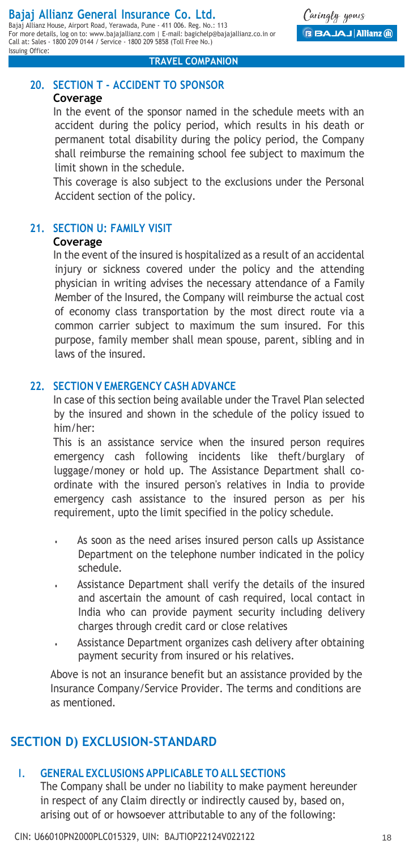Caringly yours **BBAJAJ Allianz** (ii)

#### **TRAVEL COMPANION**

## **20. SECTION T - ACCIDENT TO SPONSOR**

#### **Coverage**

In the event of the sponsor named in the schedule meets with an accident during the policy period, which results in his death or permanent total disability during the policy period, the Company shall reimburse the remaining school fee subject to maximum the limit shown in the schedule.

This coverage is also subject to the exclusions under the Personal Accident section of the policy.

#### **21. SECTION U: FAMILY VISIT Coverage**

In the event of the insured is hospitalized as a result of an accidental injury or sickness covered under the policy and the attending physician in writing advises the necessary attendance of a Family Member of the Insured, the Company will reimburse the actual cost of economy class transportation by the most direct route via a common carrier subject to maximum the sum insured. For this purpose, family member shall mean spouse, parent, sibling and in laws of the insured.

### **22. SECTION V EMERGENCY CASH ADVANCE**

In case of this section being available under the Travel Plan selected by the insured and shown in the schedule of the policy issued to him/her:

This is an assistance service when the insured person requires emergency cash following incidents like theft/burglary of luggage/money or hold up. The Assistance Department shall coordinate with the insured person's relatives in India to provide emergency cash assistance to the insured person as per his requirement, upto the limit specified in the policy schedule.

- As soon as the need arises insured person calls up Assistance Department on the telephone number indicated in the policy schedule.
- Assistance Department shall verify the details of the insured and ascertain the amount of cash required, local contact in India who can provide payment security including delivery charges through credit card or close relatives
- Assistance Department organizes cash delivery after obtaining payment security from insured or his relatives.

Above is not an insurance benefit but an assistance provided by the Insurance Company/Service Provider. The terms and conditions are as mentioned.

## **SECTION D) EXCLUSION-STANDARD**

## I. **GENERAL EXCLUSIONS APPLICABLE TO ALL SECTIONS**

The Company shall be under no liability to make payment hereunder in respect of any Claim directly or indirectly caused by, based on, arising out of or howsoever attributable to any of the following: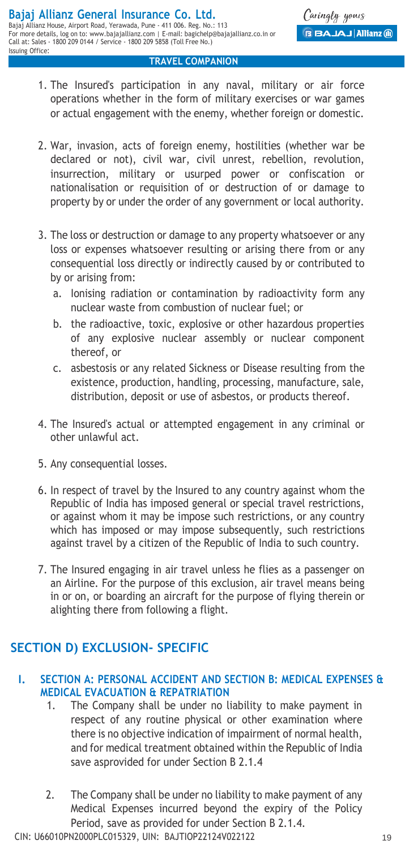- 1. The Insured's participation in any naval, military or air force operations whether in the form of military exercises or war games or actual engagement with the enemy, whether foreign or domestic.
- 2. War, invasion, acts of foreign enemy, hostilities (whether war be declared or not), civil war, civil unrest, rebellion, revolution, insurrection, military or usurped power or confiscation or nationalisation or requisition of or destruction of or damage to property by or under the order of any government or local authority.
- 3. The loss or destruction or damage to any property whatsoever or any loss or expenses whatsoever resulting or arising there from or any consequential loss directly or indirectly caused by or contributed to by or arising from:
	- lonising radiation or contamination by radioactivity form any nuclear waste from combustion of nuclear fuel; or
	- b. the radioactive, toxic, explosive or other hazardous properties of any explosive nuclear assembly or nuclear component thereof, or
	- c. asbestosis or any related Sickness or Disease resulting from the existence, production, handling, processing, manufacture, sale, distribution, deposit or use of asbestos, or products thereof.
- 4. The Insured's actual or attempted engagement in any criminal or other unlawful act.
- 5. Any consequential losses.
- 6. In respect of travel by the Insured to any country against whom the Republic of India has imposed general or special travel restrictions, or against whom it may be impose such restrictions, or any country which has imposed or may impose subsequently, such restrictions against travel by a citizen of the Republic of India to such country.
- 7. The Insured engaging in air travel unless he flies as a passenger on an Airline. For the purpose of this exclusion, air travel means being in or on, or boarding an aircraft for the purpose of flying therein or alighting there from following a flight.

## **SECTION D) EXCLUSION- SPECIFIC**

## **I. SECTION A: PERSONAL ACCIDENT AND SECTION B: MEDICAL EXPENSES & MEDICAL EVACUATION & REPATRIATION**

- 1. The Company shall be under no liability to make payment in respect of any routine physical or other examination where there is no objective indication of impairment of normal health, and for medical treatment obtained within the Republic of India save asprovided for under Section B 2.1.4
- 2. The Company shall be under no liability to make payment of any Medical Expenses incurred beyond the expiry of the Policy Period, save as provided for under Section B 2.1.4.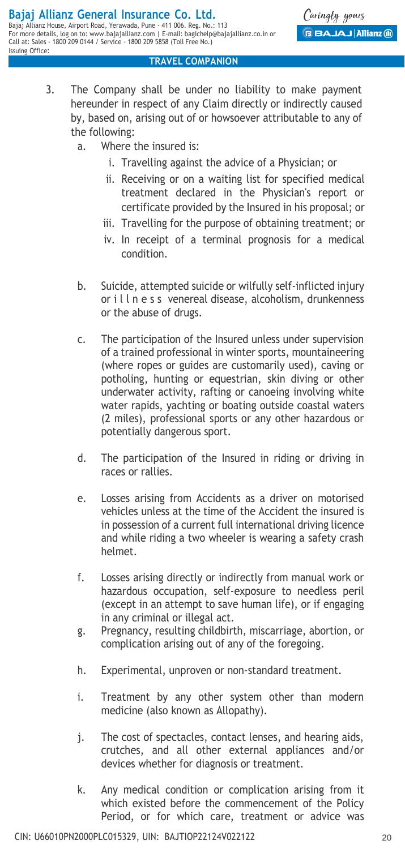- 3. The Company shall be under no liability to make payment hereunder in respect of any Claim directly or indirectly caused by, based on, arising out of or howsoever attributable to any of the following:
	- a. Where the insured is:
		- i. Travelling against the advice of a Physician; or
		- ii. Receiving or on a waiting list for specified medical treatment declared in the Physician's report or certificate provided by the Insured in his proposal; or
		- iii. Travelling for the purpose of obtaining treatment; or
		- iv. In receipt of a terminal prognosis for a medical condition.
	- b. Suicide, attempted suicide or wilfully self-inflicted injury or i l l n e s s venereal disease, alcoholism, drunkenness or the abuse of drugs.
	- c. The participation of the Insured unless under supervision of a trained professional in winter sports, mountaineering (where ropes or guides are customarily used), caving or potholing, hunting or equestrian, skin diving or other underwater activity, rafting or canoeing involving white water rapids, yachting or boating outside coastal waters (2 miles), professional sports or any other hazardous or potentially dangerous sport.
	- d. The participation of the Insured in riding or driving in races or rallies.
	- e. Losses arising from Accidents as a driver on motorised vehicles unless at the time of the Accident the insured is in possession of a current full international driving licence and while riding a two wheeler is wearing a safety crash helmet.
	- f. Losses arising directly or indirectly from manual work or hazardous occupation, self-exposure to needless peril (except in an attempt to save human life), or if engaging in any criminal or illegal act.
	- g. Pregnancy, resulting childbirth, miscarriage, abortion, or complication arising out of any of the foregoing.
	- h. Experimental, unproven or non-standard treatment.
	- i. Treatment by any other system other than modern medicine (also known as Allopathy).
	- j. The cost of spectacles, contact lenses, and hearing aids, crutches, and all other external appliances and/or devices whether for diagnosis or treatment.
	- k. Any medical condition or complication arising from it which existed before the commencement of the Policy Period, or for which care, treatment or advice was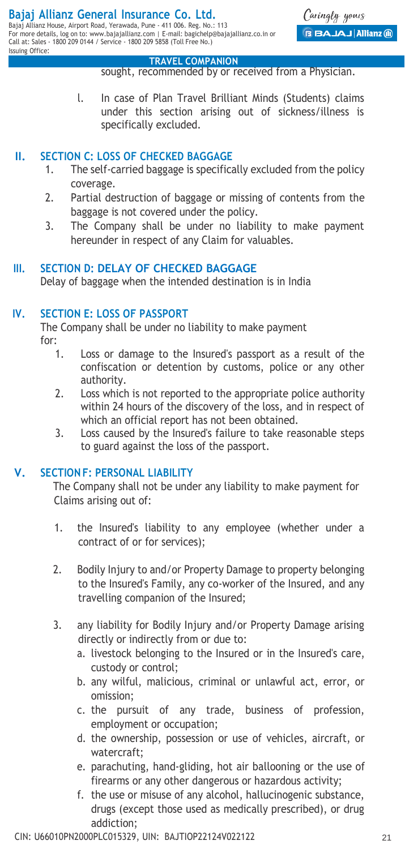Issuing Office:

#### **TRAVEL COMPANION**

sought, recommended by or received from a Physician.

l. In case of Plan Travel Brilliant Minds (Students) claims under this section arising out of sickness/illness is specifically excluded.

## **II. SECTION C: LOSS OF CHECKED BAGGAGE**

- 1. The self-carried baggage is specifically excluded from the policy coverage.
- 2. Partial destruction of baggage or missing of contents from the baggage is not covered under the policy.
- 3. The Company shall be under no liability to make payment hereunder in respect of any Claim for valuables.

## **III. SECTION D: DELAY OF CHECKED BAGGAGE**

Delay of baggage when the intended destination is in India

## **IV. SECTION E: LOSS OF PASSPORT**

The Company shall be under no liability to make payment for:

- 1. Loss or damage to the Insured's passport as a result of the confiscation or detention by customs, police or any other authority.
- 2. Loss which is not reported to the appropriate police authority within 24 hours of the discovery of the loss, and in respect of which an official report has not been obtained.
- 3. Loss caused by the Insured's failure to take reasonable steps to guard against the loss of the passport.

## **V. SECTION F: PERSONAL LIABILITY**

The Company shall not be under any liability to make payment for Claims arising out of:

- 1. the Insured's liability to any employee (whether under a contract of or for services);
- 2. Bodily Injury to and/or Property Damage to property belonging to the Insured's Family, any co-worker of the Insured, and any travelling companion of the Insured;
- 3. any liability for Bodily Injury and/or Property Damage arising directly or indirectly from or due to:
	- a. livestock belonging to the Insured or in the Insured's care, custody or control;
	- b. any wilful, malicious, criminal or unlawful act, error, or omission;
	- c. the pursuit of any trade, business of profession, employment or occupation;
	- d. the ownership, possession or use of vehicles, aircraft, or watercraft;
	- e. parachuting, hand-gliding, hot air ballooning or the use of firearms or any other dangerous or hazardous activity;
	- f. the use or misuse of any alcohol, hallucinogenic substance, drugs (except those used as medically prescribed), or drug addiction;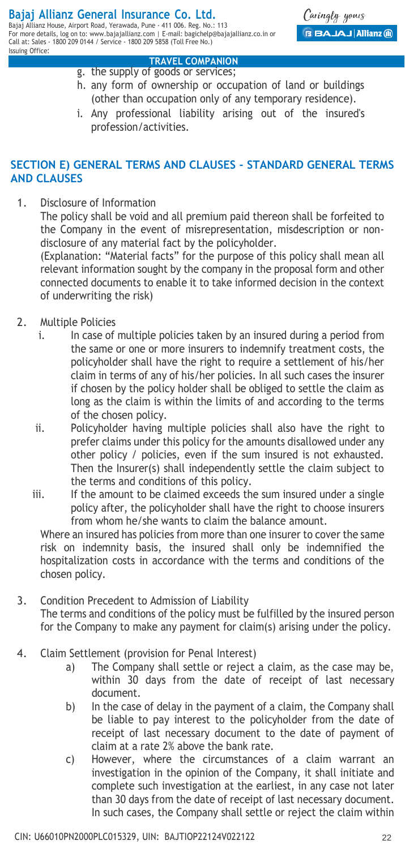#### **Bajaj Allianz General Insurance Co. Ltd.** Bajaj Allianz House, Airport Road, Yerawada, Pune - 411 006. Reg. No.: 113

For more details, log on to: www.bajajallianz.com | E-mail: bagichelp@bajajallianz.co.in or Call at: Sales - 1800 209 0144 / Service - 1800 209 5858 (Toll Free No.) Issuing Office:

Caringly yours **BBAJAJ Allianz** (ii)

### **TRAVEL COMPANION**

- g. the supply of goods or services; h. any form of ownership or occupation of land or buildings (other than occupation only of any temporary residence).
- i. Any professional liability arising out of the insured's profession/activities.

## **SECTION E) GENERAL TERMS AND CLAUSES - STANDARD GENERAL TERMS AND CLAUSES**

1. Disclosure of Information

The policy shall be void and all premium paid thereon shall be forfeited to the Company in the event of misrepresentation, misdescription or nondisclosure of any material fact by the policyholder.

(Explanation: "Material facts" for the purpose of this policy shall mean all relevant information sought by the company in the proposal form and other connected documents to enable it to take informed decision in the context of underwriting the risk)

- 2. Multiple Policies
	- i. In case of multiple policies taken by an insured during a period from the same or one or more insurers to indemnify treatment costs, the policyholder shall have the right to require a settlement of his/her claim in terms of any of his/her policies. In all such cases the insurer if chosen by the policy holder shall be obliged to settle the claim as long as the claim is within the limits of and according to the terms of the chosen policy.
	- ii. Policyholder having multiple policies shall also have the right to prefer claims under this policy for the amounts disallowed under any other policy / policies, even if the sum insured is not exhausted. Then the Insurer(s) shall independently settle the claim subject to the terms and conditions of this policy.
	- iii. If the amount to be claimed exceeds the sum insured under a single policy after, the policyholder shall have the right to choose insurers from whom he/she wants to claim the balance amount.

Where an insured has policies from more than one insurer to cover the same risk on indemnity basis, the insured shall only be indemnified the hospitalization costs in accordance with the terms and conditions of the chosen policy.

- 3. Condition Precedent to Admission of Liability The terms and conditions of the policy must be fulfilled by the insured person for the Company to make any payment for claim(s) arising under the policy.
- 4. Claim Settlement (provision for Penal Interest)
	- a) The Company shall settle or reject a claim, as the case may be, within 30 days from the date of receipt of last necessary document.
	- b) In the case of delay in the payment of a claim, the Company shall be liable to pay interest to the policyholder from the date of receipt of last necessary document to the date of payment of claim at a rate 2% above the bank rate.
	- c) However, where the circumstances of a claim warrant an investigation in the opinion of the Company, it shall initiate and complete such investigation at the earliest, in any case not later than 30 days from the date of receipt of last necessary document. In such cases, the Company shall settle or reject the claim within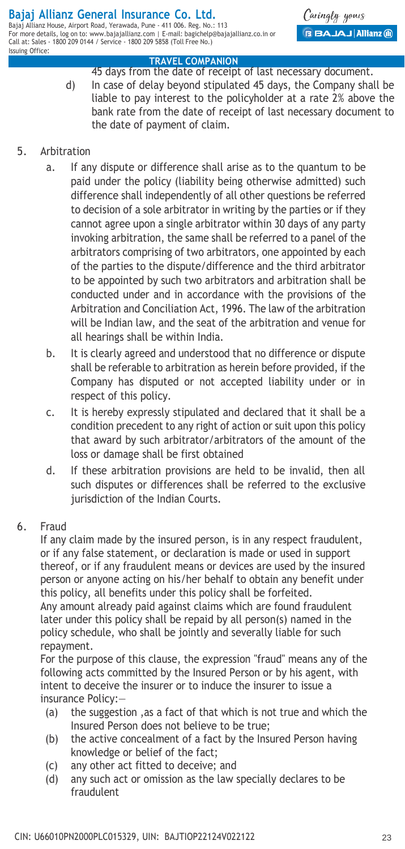For more details, log on to: www.bajajallianz.com | E-mail: bagichelp@bajajallianz.co.in or Call at: Sales - 1800 209 0144 / Service - 1800 209 5858 (Toll Free No.) Issuing Office:

Caringly yours **BBAJAJ Allianz (ii)** 

#### **TRAVEL COMPANION**

45 days from the date of receipt of last necessary document. d) In case of delay beyond stipulated 45 days, the Company shall be liable to pay interest to the policyholder at a rate 2% above the bank rate from the date of receipt of last necessary document to the date of payment of claim.

## 5. Arbitration

- a. If any dispute or difference shall arise as to the quantum to be paid under the policy (liability being otherwise admitted) such difference shall independently of all other questions be referred to decision of a sole arbitrator in writing by the parties or if they cannot agree upon a single arbitrator within 30 days of any party invoking arbitration, the same shall be referred to a panel of the arbitrators comprising of two arbitrators, one appointed by each of the parties to the dispute/difference and the third arbitrator to be appointed by such two arbitrators and arbitration shall be conducted under and in accordance with the provisions of the Arbitration and Conciliation Act, 1996. The law of the arbitration will be Indian law, and the seat of the arbitration and venue for all hearings shall be within India.
- b. It is clearly agreed and understood that no difference or dispute shall be referable to arbitration as herein before provided, if the Company has disputed or not accepted liability under or in respect of this policy.
- c. It is hereby expressly stipulated and declared that it shall be a condition precedent to any right of action or suit upon this policy that award by such arbitrator/arbitrators of the amount of the loss or damage shall be first obtained
- d. If these arbitration provisions are held to be invalid, then all such disputes or differences shall be referred to the exclusive jurisdiction of the Indian Courts.

## 6. Fraud

If any claim made by the insured person, is in any respect fraudulent, or if any false statement, or declaration is made or used in support thereof, or if any fraudulent means or devices are used by the insured person or anyone acting on his/her behalf to obtain any benefit under this policy, all benefits under this policy shall be forfeited.

Any amount already paid against claims which are found fraudulent later under this policy shall be repaid by all person(s) named in the policy schedule, who shall be jointly and severally liable for such repayment.

For the purpose of this clause, the expression "fraud" means any of the following acts committed by the Insured Person or by his agent, with intent to deceive the insurer or to induce the insurer to issue a insurance Policy:—

- (a) the suggestion ,as a fact of that which is not true and which the Insured Person does not believe to be true;
- (b) the active concealment of a fact by the Insured Person having knowledge or belief of the fact;
- (c) any other act fitted to deceive; and
- (d) any such act or omission as the law specially declares to be fraudulent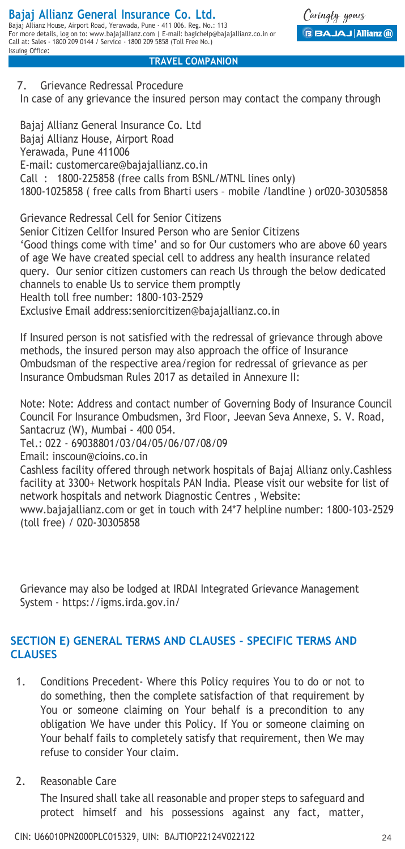Caringly yours **BBAJAJ Allianz** (ii)

#### **TRAVEL COMPANION**

## 7. Grievance Redressal Procedure

In case of any grievance the insured person may contact the company through

Bajaj Allianz General Insurance Co. Ltd Bajaj Allianz House, Airport Road Yerawada, Pune 411006 E-mail: customercare@bajajallianz.co.in Call : 1800-225858 (free calls from BSNL/MTNL lines only) 1800-1025858 ( free calls from Bharti users – mobile /landline ) or020-30305858

Grievance Redressal Cell for Senior Citizens Senior Citizen Cellfor Insured Person who are Senior Citizens 'Good things come with time' and so for Our customers who are above 60 years of age We have created special cell to address any health insurance related query. Our senior citizen customers can reach Us through the below dedicated channels to enable Us to service them promptly Health toll free number: 1800-103-2529 Exclusive Email address:seniorcitizen@bajajallianz.co.in

If Insured person is not satisfied with the redressal of grievance through above methods, the insured person may also approach the office of Insurance Ombudsman of the respective area/region for redressal of grievance as per Insurance Ombudsman Rules 2017 as detailed in Annexure II:

Note: Note: Address and contact number of Governing Body of Insurance Council Council For Insurance Ombudsmen, 3rd Floor, Jeevan Seva Annexe, S. V. Road, Santacruz (W), Mumbai - 400 054.

Tel.: 022 - 69038801/03/04/05/06/07/08/09

Email: inscoun@cioins.co.in

Cashless facility offered through network hospitals of Bajaj Allianz only.Cashless facility at 3300+ Network hospitals PAN India. Please visit our website for list of network hospitals and network Diagnostic Centres , Website:

www.bajajallianz.com or get in touch with 24\*7 helpline number: 1800-103-2529 (toll free) / 020-30305858

Grievance may also be lodged at IRDAI Integrated Grievance Management System - https://igms.irda.gov.in/

## **SECTION E) GENERAL TERMS AND CLAUSES - SPECIFIC TERMS AND CLAUSES**

- 1. Conditions Precedent- Where this Policy requires You to do or not to do something, then the complete satisfaction of that requirement by You or someone claiming on Your behalf is a precondition to any obligation We have under this Policy. If You or someone claiming on Your behalf fails to completely satisfy that requirement, then We may refuse to consider Your claim.
- 2. Reasonable Care

The Insured shall take all reasonable and proper steps to safeguard and protect himself and his possessions against any fact, matter,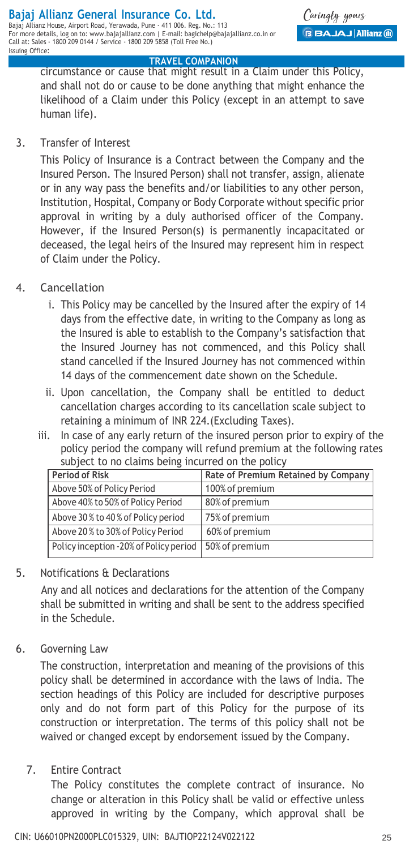Call at: Sales - 1800 209 0144 / Service - 1800 209 5858 (Toll Free No.)

#### **TRAVEL COMPANION**

circumstance or cause that might result in a Claim under this Policy, and shall not do or cause to be done anything that might enhance the likelihood of a Claim under this Policy (except in an attempt to save human life).

3. Transfer of Interest

Issuing Office:

This Policy of Insurance is a Contract between the Company and the Insured Person. The Insured Person) shall not transfer, assign, alienate or in any way pass the benefits and/or liabilities to any other person, Institution, Hospital, Company or Body Corporate without specific prior approval in writing by a duly authorised officer of the Company. However, if the Insured Person(s) is permanently incapacitated or deceased, the legal heirs of the Insured may represent him in respect of Claim under the Policy.

- 4. Cancellation
	- i. This Policy may be cancelled by the Insured after the expiry of 14 days from the effective date, in writing to the Company as long as the Insured is able to establish to the Company's satisfaction that the Insured Journey has not commenced, and this Policy shall stand cancelled if the Insured Journey has not commenced within 14 days of the commencement date shown on the Schedule.
	- ii. Upon cancellation, the Company shall be entitled to deduct cancellation charges according to its cancellation scale subject to retaining a minimum of INR 224.(Excluding Taxes).
	- iii. In case of any early return of the insured person prior to expiry of the policy period the company will refund premium at the following rates subject to no claims being incurred on the policy

| Period of Risk                         | Rate of Premium Retained by Company |  |
|----------------------------------------|-------------------------------------|--|
| Above 50% of Policy Period             | 100% of premium                     |  |
| Above 40% to 50% of Policy Period      | 80% of premium                      |  |
| Above 30% to 40% of Policy period      | 75% of premium                      |  |
| Above 20% to 30% of Policy Period      | 60% of premium                      |  |
| Policy inception -20% of Policy period | 50% of premium                      |  |

5. Notifications & Declarations

Any and all notices and declarations for the attention of the Company shall be submitted in writing and shall be sent to the address specified in the Schedule.

6. Governing Law

The construction, interpretation and meaning of the provisions of this policy shall be determined in accordance with the laws of India. The section headings of this Policy are included for descriptive purposes only and do not form part of this Policy for the purpose of its construction or interpretation. The terms of this policy shall not be waived or changed except by endorsement issued by the Company.

7. Entire Contract

The Policy constitutes the complete contract of insurance. No change or alteration in this Policy shall be valid or effective unless approved in writing by the Company, which approval shall be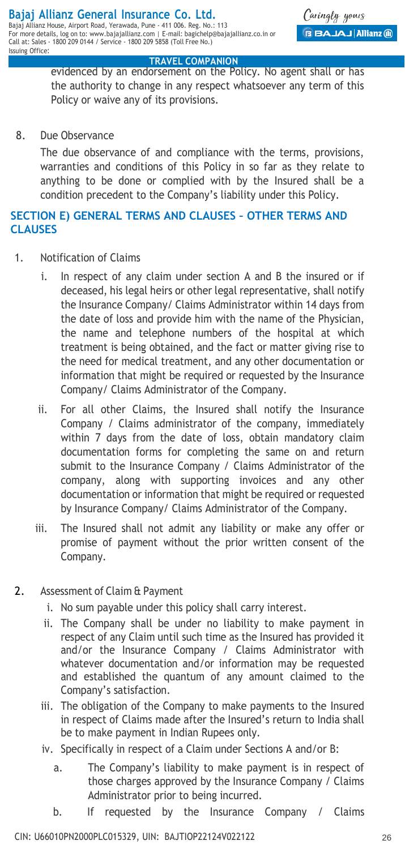evidenced by an endorsement on the Policy. No agent shall or has the authority to change in any respect whatsoever any term of this Policy or waive any of its provisions.

8. Due Observance

The due observance of and compliance with the terms, provisions, warranties and conditions of this Policy in so far as they relate to anything to be done or complied with by the Insured shall be a condition precedent to the Company's liability under this Policy.

## **SECTION E) GENERAL TERMS AND CLAUSES – OTHER TERMS AND CLAUSES**

- 1. Notification of Claims
	- i. In respect of any claim under section A and B the insured or if deceased, his legal heirs or other legal representative, shall notify the Insurance Company/ Claims Administrator within 14 days from the date of loss and provide him with the name of the Physician, the name and telephone numbers of the hospital at which treatment is being obtained, and the fact or matter giving rise to the need for medical treatment, and any other documentation or information that might be required or requested by the Insurance Company/ Claims Administrator of the Company.
	- ii. For all other Claims, the Insured shall notify the Insurance Company / Claims administrator of the company, immediately within 7 days from the date of loss, obtain mandatory claim documentation forms for completing the same on and return submit to the Insurance Company / Claims Administrator of the company, along with supporting invoices and any other documentation or information that might be required or requested by Insurance Company/ Claims Administrator of the Company.
	- iii. The Insured shall not admit any liability or make any offer or promise of payment without the prior written consent of the Company.
- 2. Assessment of Claim & Payment
	- i. No sum payable under this policy shall carry interest.
	- ii. The Company shall be under no liability to make payment in respect of any Claim until such time as the Insured has provided it and/or the Insurance Company / Claims Administrator with whatever documentation and/or information may be requested and established the quantum of any amount claimed to the Company's satisfaction.
	- iii. The obligation of the Company to make payments to the Insured in respect of Claims made after the Insured's return to India shall be to make payment in Indian Rupees only.
	- iv. Specifically in respect of a Claim under Sections A and/or B:
		- a. The Company's liability to make payment is in respect of those charges approved by the Insurance Company / Claims Administrator prior to being incurred.
		- b. If requested by the Insurance Company / Claims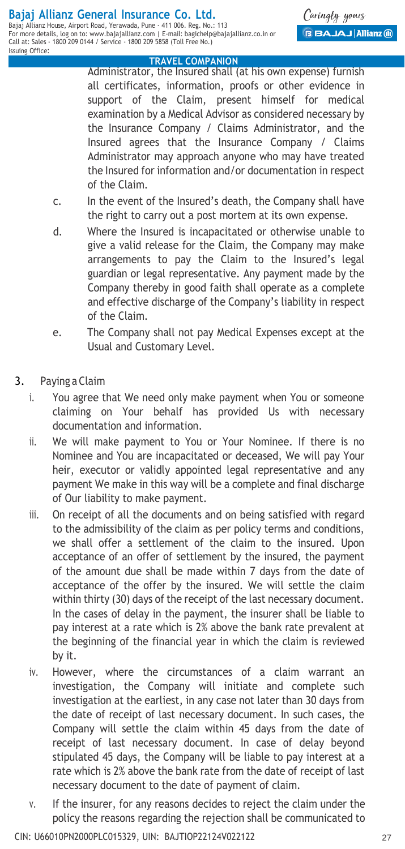Administrator, the Insured shall (at his own expense) furnish all certificates, information, proofs or other evidence in support of the Claim, present himself for medical examination by a Medical Advisor as considered necessary by the Insurance Company / Claims Administrator, and the Insured agrees that the Insurance Company / Claims Administrator may approach anyone who may have treated the Insured for information and/or documentation in respect of the Claim.

- c. In the event of the Insured's death, the Company shall have the right to carry out a post mortem at its own expense.
- d. Where the Insured is incapacitated or otherwise unable to give a valid release for the Claim, the Company may make arrangements to pay the Claim to the Insured's legal guardian or legal representative. Any payment made by the Company thereby in good faith shall operate as a complete and effective discharge of the Company's liability in respect of the Claim.
- e. The Company shall not pay Medical Expenses except at the Usual and Customary Level.
- 3. Paying a Claim
	- i. You agree that We need only make payment when You or someone claiming on Your behalf has provided Us with necessary documentation and information.
	- ii. We will make payment to You or Your Nominee. If there is no Nominee and You are incapacitated or deceased, We will pay Your heir, executor or validly appointed legal representative and any payment We make in this way will be a complete and final discharge of Our liability to make payment.
	- iii. On receipt of all the documents and on being satisfied with regard to the admissibility of the claim as per policy terms and conditions, we shall offer a settlement of the claim to the insured. Upon acceptance of an offer of settlement by the insured, the payment of the amount due shall be made within 7 days from the date of acceptance of the offer by the insured. We will settle the claim within thirty (30) days of the receipt of the last necessary document. In the cases of delay in the payment, the insurer shall be liable to pay interest at a rate which is 2% above the bank rate prevalent at the beginning of the financial year in which the claim is reviewed by it.
	- iv. However, where the circumstances of a claim warrant an investigation, the Company will initiate and complete such investigation at the earliest, in any case not later than 30 days from the date of receipt of last necessary document. In such cases, the Company will settle the claim within 45 days from the date of receipt of last necessary document. In case of delay beyond stipulated 45 days, the Company will be liable to pay interest at a rate which is 2% above the bank rate from the date of receipt of last necessary document to the date of payment of claim.
	- v. If the insurer, for any reasons decides to reject the claim under the policy the reasons regarding the rejection shall be communicated to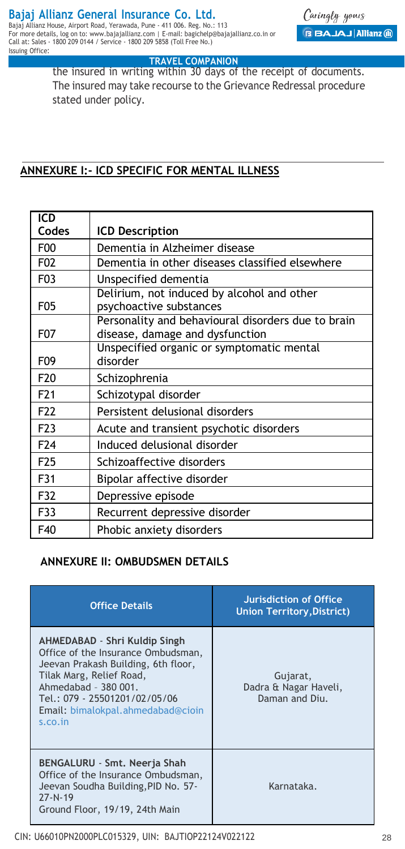For more details, log on to: www.bajajallianz.com | E-mail: bagichelp@bajajallianz.co.in or Call at: Sales - 1800 209 0144 / Service - 1800 209 5858 (Toll Free No.) Issuing Office:

 **TRAVEL COMPANION** the insured in writing within 30 days of the receipt of documents. The insured may take recourse to the Grievance Redressal procedure stated under policy.

## **ANNEXURE I:- ICD SPECIFIC FOR MENTAL ILLNESS**

| ICD              |                                                                                       |  |  |
|------------------|---------------------------------------------------------------------------------------|--|--|
| Codes            | ICD Description                                                                       |  |  |
| F <sub>00</sub>  | Dementia in Alzheimer disease                                                         |  |  |
| F <sub>0</sub> 2 | Dementia in other diseases classified elsewhere                                       |  |  |
| F03              | Unspecified dementia                                                                  |  |  |
| F05              | Delirium, not induced by alcohol and other<br>psychoactive substances                 |  |  |
| F <sub>0</sub> 7 | Personality and behavioural disorders due to brain<br>disease, damage and dysfunction |  |  |
| F09              | Unspecified organic or symptomatic mental<br>disorder                                 |  |  |
| F <sub>20</sub>  | Schizophrenia                                                                         |  |  |
| F <sub>21</sub>  | Schizotypal disorder                                                                  |  |  |
| F <sub>22</sub>  | Persistent delusional disorders                                                       |  |  |
| F <sub>2</sub> 3 | Acute and transient psychotic disorders                                               |  |  |
| F <sub>24</sub>  | Induced delusional disorder                                                           |  |  |
| F <sub>25</sub>  | Schizoaffective disorders                                                             |  |  |
| F31              | Bipolar affective disorder                                                            |  |  |
| F32              | Depressive episode                                                                    |  |  |
| F33              | Recurrent depressive disorder                                                         |  |  |
| F40              | Phobic anxiety disorders                                                              |  |  |

## **ANNEXURE II: OMBUDSMEN DETAILS**

| <b>Office Details</b>                                                                                                                                                                                                                           | Jurisdiction of Office<br><b>Union Territory, District)</b> |
|-------------------------------------------------------------------------------------------------------------------------------------------------------------------------------------------------------------------------------------------------|-------------------------------------------------------------|
| AHMEDABAD - Shri Kuldip Singh<br>Office of the Insurance Ombudsman,<br>Jeevan Prakash Building, 6th floor,<br>Tilak Marg, Relief Road,<br>Ahmedabad - 380 001.<br>Tel.: 079 - 25501201/02/05/06<br>Email: bimalokpal.ahmedabad@cioin<br>s.co.in | Gujarat,<br>Dadra & Nagar Haveli,<br>Daman and Diu.         |
| BENGALURU - Smt. Neerja Shah<br>Office of the Insurance Ombudsman,<br>Jeevan Soudha Building, PID No. 57-<br>$77 - N - 19$<br>Ground Floor, 19/19, 24th Main                                                                                    | Karnataka.                                                  |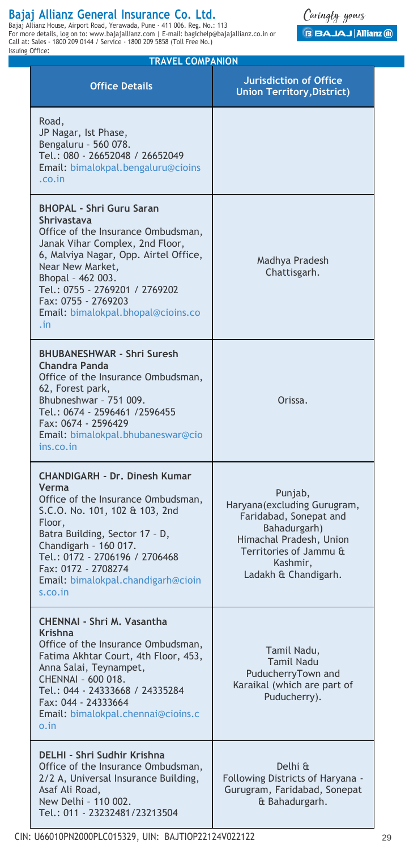Bajaj Allianz General Insurance Co, Ltd,<br>Bajaj Allianz House, Airport Road, Yerawada, Pune - 411 006. Reg. No.: 113<br>For more details, log on to: www.bajajallianz.com | E-mail: bagichelp@bajajallianz.co.in or Call at: Sales - 1800 209 0144 / Service - 1800 209 5858 (Toll Free No.) Issuing Office:



| <b>TRAVEL COMPANION</b>                                                                                                                                                                                                                                                                                         |                                                                                                                                                                           |  |  |  |
|-----------------------------------------------------------------------------------------------------------------------------------------------------------------------------------------------------------------------------------------------------------------------------------------------------------------|---------------------------------------------------------------------------------------------------------------------------------------------------------------------------|--|--|--|
| <b>Office Details</b>                                                                                                                                                                                                                                                                                           | <b>Jurisdiction of Office</b><br><b>Union Territory, District)</b>                                                                                                        |  |  |  |
| Road,<br>JP Nagar, Ist Phase,<br>Bengaluru - 560 078.<br>Tel.: 080 - 26652048 / 26652049<br>Email: bimalokpal.bengaluru@cioins<br>.co.in                                                                                                                                                                        |                                                                                                                                                                           |  |  |  |
| <b>BHOPAL - Shri Guru Saran</b><br>Shrivastava<br>Office of the Insurance Ombudsman,<br>Janak Vihar Complex, 2nd Floor,<br>6, Malviya Nagar, Opp. Airtel Office,<br>Near New Market,<br>Bhopal - 462 003.<br>Tel.: 0755 - 2769201 / 2769202<br>Fax: 0755 - 2769203<br>Email: bimalokpal.bhopal@cioins.co<br>.in | Madhya Pradesh<br>Chattisgarh.                                                                                                                                            |  |  |  |
| <b>BHUBANESHWAR - Shri Suresh</b><br>Chandra Panda<br>Office of the Insurance Ombudsman,<br>62, Forest park,<br>Bhubneshwar - 751 009.<br>Tel.: 0674 - 2596461 /2596455<br>Fax: 0674 - 2596429<br>Email: bimalokpal.bhubaneswar@cio<br>ins.co.in                                                                | Orissa.                                                                                                                                                                   |  |  |  |
| CHANDIGARH - Dr. Dinesh Kumar<br>Verma<br>Office of the Insurance Ombudsman,<br>S.C.O. No. 101, 102 & 103, 2nd<br>Floor,<br>Batra Building, Sector 17 - D,<br>Chandigarh - 160 017.<br>Tel.: 0172 - 2706196 / 2706468<br>Fax: 0172 - 2708274<br>Email: bimalokpal.chandigarh@cioin<br>s.co.in                   | Punjab,<br>Haryana(excluding Gurugram,<br>Faridabad, Sonepat and<br>Bahadurgarh)<br>Himachal Pradesh, Union<br>Territories of Jammu &<br>Kashmir,<br>Ladakh & Chandigarh. |  |  |  |
| CHENNAI - Shri M. Vasantha<br>Krishna<br>Office of the Insurance Ombudsman,<br>Fatima Akhtar Court, 4th Floor, 453,<br>Anna Salai, Teynampet,<br>CHENNAI - 600 018.<br>Tel.: 044 - 24333668 / 24335284<br>Fax: 044 - 24333664<br>Email: bimalokpal.chennai@cioins.c<br>$0.\overline{1}n$                        | Tamil Nadu,<br>Tamil Nadu<br>PuducherryTown and<br>Karaikal (which are part of<br>Puducherry).                                                                            |  |  |  |
| DELHI - Shri Sudhir Krishna<br>Office of the Insurance Ombudsman,<br>2/2 A, Universal Insurance Building,<br>Asaf Ali Road,<br>New Delhi - 110 002.<br>Tel.: 011 - 23232481/23213504                                                                                                                            | Delhi &<br>Following Districts of Haryana -<br>Gurugram, Faridabad, Sonepat<br>& Bahadurgarh.                                                                             |  |  |  |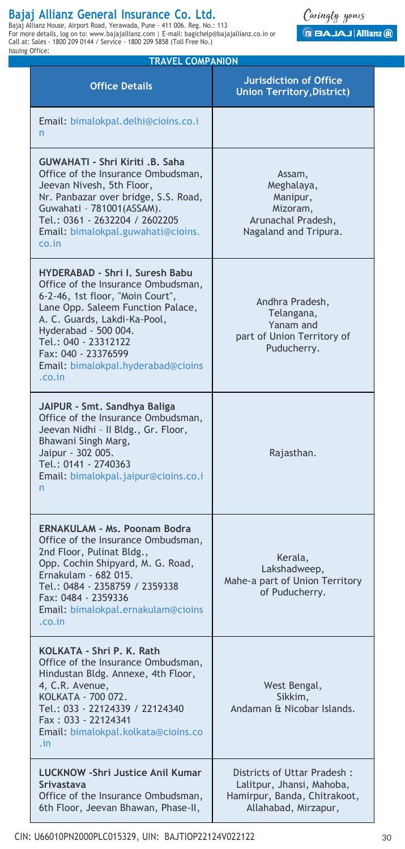**Bajaj Allianz General Insurance Co, Ltd.**<br>Bajaj Allianz House, Airport Road, Yerawada, Pune - 411 006. Reg. No.: 113<br>For more details, Iog on to: www.bajajallianz.com | E-mail: bagichelp@bajajallianz.co.in or<br>Call at: Sal Issuing Office:

Caringly yours **GBAJAJAIIianz @** 

| <b>TRAVEL COMPANION</b>                                                                                                                                                                                                                                                                               |                                                                                             |  |  |
|-------------------------------------------------------------------------------------------------------------------------------------------------------------------------------------------------------------------------------------------------------------------------------------------------------|---------------------------------------------------------------------------------------------|--|--|
| <b>Office Details</b>                                                                                                                                                                                                                                                                                 | <b>Jurisdiction of Office</b><br><b>Union Territory, District)</b>                          |  |  |
| Email: bimalokpal.delhi@cioins.co.i<br>n                                                                                                                                                                                                                                                              |                                                                                             |  |  |
| GUWAHATI - Shri Kiriti .B. Saha<br>Office of the Insurance Ombudsman,<br>Jeevan Nivesh, 5th Floor,<br>Nr. Panbazar over bridge, S.S. Road,<br>Guwahati - 781001(ASSAM).<br>Tel.: 0361 - 2632204 / 2602205<br>Email: bimalokpal.guwahati@cioins.<br>co.in                                              | Assam,<br>Meghalaya,<br>Manipur,<br>Mizoram,<br>Arunachal Pradesh,<br>Nagaland and Tripura. |  |  |
| HYDERABAD - Shri I. Suresh Babu<br>Office of the Insurance Ombudsman,<br>6-2-46, 1st floor, "Moin Court",<br>Lane Opp. Saleem Function Palace,<br>A. C. Guards, Lakdi-Ka-Pool,<br>Hyderabad - 500 004.<br>Tel.: 040 - 23312122<br>Fax: 040 - 23376599<br>Email: bimalokpal.hyderabad@cioins<br>.co.in | Andhra Pradesh,<br>Telangana,<br>Yanam and<br>part of Union Territory of<br>Puducherry.     |  |  |
| JAIPUR - Smt, Sandhya Baliga<br>Office of the Insurance Ombudsman,<br>Jeevan Nidhi - Il Bldg., Gr. Floor,<br>Bhawani Singh Marg,<br>Jaipur - 302 005.<br>Tel.: 0141 - 2740363<br>Email: bimalokpal.jaipur@cioins.co.i<br>n                                                                            | Rajasthan.                                                                                  |  |  |
| ERNAKULAM - Ms. Poonam Bodra<br>Office of the Insurance Ombudsman,<br>2nd Floor, Pulinat Bldg.,<br>Opp. Cochin Shipyard, M. G. Road,<br>Ernakulam - 682 015.<br>Tel.: 0484 - 2358759 / 2359338<br>Fax: 0484 - 2359336<br>Email: bimalokpal.ernakulam@cioins<br>.co.in                                 | Kerala,<br>Lakshadweep,<br>Mahe-a part of Union Territory<br>of Puducherry.                 |  |  |
| KOLKATA - Shri P. K. Rath<br>Office of the Insurance Ombudsman,<br>Hindustan Bldg. Annexe, 4th Floor,<br>4, C.R. Avenue,<br>KOLKATA - 700 072.<br>Tel.: 033 - 22124339 / 22124340<br>Fax: 033 - 22124341<br>Email: bimalokpal.kolkata@cioins.co<br>$\cdot$ in                                         | West Bengal,<br>Sikkim,<br>Andaman & Nicobar Islands.                                       |  |  |
| LUCKNOW - Shri Justice Anil Kumar<br>Srivastava<br>Office of the Insurance Ombudsman,                                                                                                                                                                                                                 | Districts of Uttar Pradesh:<br>Lalitpur, Jhansi, Mahoba,<br>Hamirpur, Banda, Chitrakoot,    |  |  |

6th Floor, Jeevan Bhawan, Phase-II,

Allahabad, Mirzapur,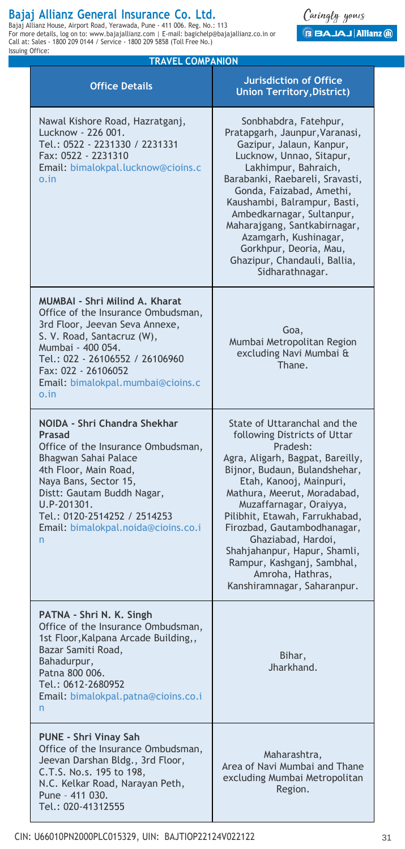Bajaj Allianz General Insurance Co, Ltd,<br>Bajaj Allianz House, Airport Road, Yerawada, Pune - 411 006. Reg. No.: 113<br>For more details, log on to: www.bajajallianz.com | E-mail: bagichelp@bajajallianz.co.in or Call at: Sales - 1800 209 0144 / Service - 1800 209 5858 (Toll Free No.) Issuing Office:

Caringly yours **BBAJAJ Allianz @** 

| <b>TRAVEL COMPANION</b>                                                                                                                                                                                                                                                                                                                                         |                                                                                                                                                                                                                                                                                                                                                                                                                                            |  |  |
|-----------------------------------------------------------------------------------------------------------------------------------------------------------------------------------------------------------------------------------------------------------------------------------------------------------------------------------------------------------------|--------------------------------------------------------------------------------------------------------------------------------------------------------------------------------------------------------------------------------------------------------------------------------------------------------------------------------------------------------------------------------------------------------------------------------------------|--|--|
| <b>Office Details</b>                                                                                                                                                                                                                                                                                                                                           | <b>Jurisdiction of Office</b><br><b>Union Territory, District)</b>                                                                                                                                                                                                                                                                                                                                                                         |  |  |
| Nawal Kishore Road, Hazratganj,<br>Lucknow - 226 001.<br>Tel.: 0522 - 2231330 / 2231331<br>Fax: 0522 - 2231310<br>Email: bimalokpal.lucknow@cioins.c<br>o.in                                                                                                                                                                                                    | Sonbhabdra, Fatehpur,<br>Pratapgarh, Jaunpur, Varanasi,<br>Gazipur, Jalaun, Kanpur,<br>Lucknow, Unnao, Sitapur,<br>Lakhimpur, Bahraich,<br>Barabanki, Raebareli, Sravasti,<br>Gonda, Faizabad, Amethi,<br>Kaushambi, Balrampur, Basti,<br>Ambedkarnagar, Sultanpur,<br>Maharajgang, Santkabirnagar,<br>Azamgarh, Kushinagar,<br>Gorkhpur, Deoria, Mau,<br>Ghazipur, Chandauli, Ballia,<br>Sidharathnagar.                                  |  |  |
| <b>MUMBAI - Shri Milind A. Kharat</b><br>Office of the Insurance Ombudsman,<br>3rd Floor, Jeevan Seva Annexe,<br>Goa,<br>S. V. Road, Santacruz (W),<br>Mumbai Metropolitan Region<br>Mumbai - 400 054.<br>excluding Navi Mumbai &<br>Tel.: 022 - 26106552 / 26106960<br>Thane.<br>Fax: 022 - 26106052<br>Email: bimalokpal.mumbai@cioins.c<br>$0.\overline{1}n$ |                                                                                                                                                                                                                                                                                                                                                                                                                                            |  |  |
| NOIDA - Shri Chandra Shekhar<br>Prasad<br>Office of the Insurance Ombudsman,<br>Bhagwan Sahai Palace<br>4th Floor, Main Road,<br>Naya Bans, Sector 15,<br>Distt: Gautam Buddh Nagar,<br>U.P-201301.<br>Tel.: 0120-2514252 / 2514253<br>Email: bimalokpal.noida@cioins.co.i<br>n                                                                                 | State of Uttaranchal and the<br>following Districts of Uttar<br>Pradesh:<br>Agra, Aligarh, Bagpat, Bareilly,<br>Bijnor, Budaun, Bulandshehar,<br>Etah, Kanooj, Mainpuri,<br>Mathura, Meerut, Moradabad,<br>Muzaffarnagar, Oraiyya,<br>Pilibhit, Etawah, Farrukhabad,<br>Firozbad, Gautambodhanagar,<br>Ghaziabad, Hardoi,<br>Shahjahanpur, Hapur, Shamli,<br>Rampur, Kashganj, Sambhal,<br>Amroha, Hathras,<br>Kanshiramnagar, Saharanpur. |  |  |
| PATNA - Shri N. K. Singh<br>Office of the Insurance Ombudsman,<br>1st Floor, Kalpana Arcade Building,,<br>Bazar Samiti Road,<br>Bihar,<br>Bahadurpur,<br>Jharkhand.<br>Patna 800 006.<br>Tel.: 0612-2680952<br>Email: bimalokpal.patna@cioins.co.i<br>n                                                                                                         |                                                                                                                                                                                                                                                                                                                                                                                                                                            |  |  |
| PUNE - Shri Vinay Sah<br>Office of the Insurance Ombudsman,<br>Jeevan Darshan Bldg., 3rd Floor,<br>C.T.S. No.s. 195 to 198,<br>N.C. Kelkar Road, Narayan Peth,<br>Pune - 411 030.<br>Tel.: 020-41312555                                                                                                                                                         | Maharashtra,<br>Area of Navi Mumbai and Thane<br>excluding Mumbai Metropolitan<br>Region.                                                                                                                                                                                                                                                                                                                                                  |  |  |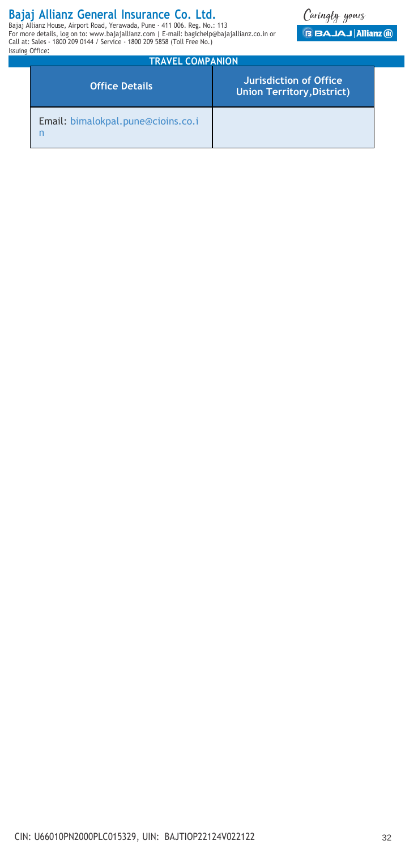**Bajaj Allianz General Insurance Co, Ltd.**<br>Bajaj Allianz House, Airport Road, Yerawada, Pune - 411 006. Reg. No.: 113<br>For more details, Iog on to: www.bajajallianz.com | E-mail: bagichelp@bajajallianz.co.in or<br>Call at: Sal Issuing Office:



| <b>TRAVEL COMPANION</b>            |                                                             |  |  |  |
|------------------------------------|-------------------------------------------------------------|--|--|--|
| <b>Office Details</b>              | Jurisdiction of Office<br><b>Union Territory, District)</b> |  |  |  |
| Email: bimalokpal.pune@cioins.co.i |                                                             |  |  |  |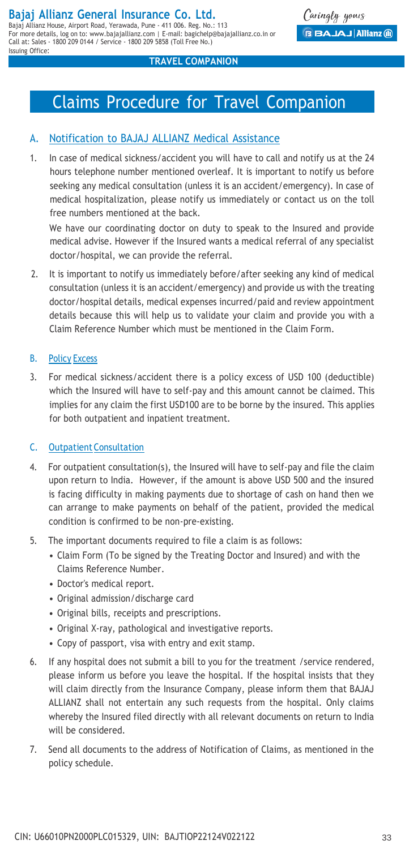Call at: Sales - 1800 209 0144 / Service - 1800 209 5858 (Toll Free No.)

Issuing Office:

#### **TRAVEL COMPANION**

# Claims Procedure for Travel Companion

## A. Notification to BAJAJ ALLIANZ Medical Assistance

1. In case of medical sickness/accident you will have to call and notify us at the 24 hours telephone number mentioned overleaf. It is important to notify us before seeking any medical consultation (unless it is an accident/emergency). In case of medical hospitalization, please notify us immediately or contact us on the toll free numbers mentioned at the back.

We have our coordinating doctor on duty to speak to the Insured and provide medical advise. However if the Insured wants a medical referral of any specialist doctor/hospital, we can provide the referral.

2. It is important to notify us immediately before/after seeking any kind of medical consultation (unless it is an accident/emergency) and provide us with the treating doctor/hospital details, medical expenses incurred/paid and review appointment details because this will help us to validate your claim and provide you with a Claim Reference Number which must be mentioned in the Claim Form.

## B. Policy Excess

3. For medical sickness/accident there is a policy excess of USD 100 (deductible) which the Insured will have to self-pay and this amount cannot be claimed. This implies for any claim the first USD100 are to be borne by the insured. This applies for both outpatient and inpatient treatment.

### C. Outpatient Consultation

- 4. For outpatient consultation(s), the Insured will have to self-pay and file the claim upon return to India. However, if the amount is above USD 500 and the insured is facing difficulty in making payments due to shortage of cash on hand then we can arrange to make payments on behalf of the patient, provided the medical condition is confirmed to be non-pre-existing.
- 5. The important documents required to file a claim is as follows:
	- Claim Form (To be signed by the Treating Doctor and Insured) and with the Claims Reference Number.
	- Doctor's medical report.
	- Original admission/discharge card
	- Original bills, receipts and prescriptions.
	- Original X-ray, pathological and investigative reports.
	- Copy of passport, visa with entry and exit stamp.
- 6. If any hospital does not submit a bill to you for the treatment /service rendered, please inform us before you leave the hospital. If the hospital insists that they will claim directly from the Insurance Company, please inform them that BAJAJ ALLIANZ shall not entertain any such requests from the hospital. Only claims whereby the Insured filed directly with all relevant documents on return to India will be considered.
- 7. Send all documents to the address of Notification of Claims, as mentioned in the policy schedule.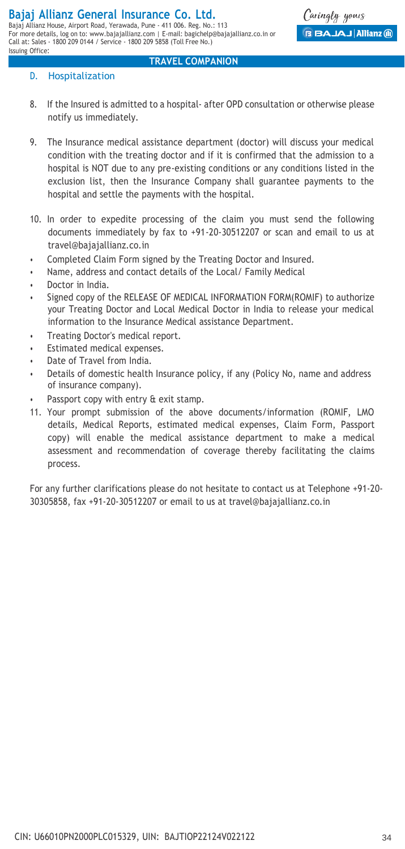### D. Hospitalization

Issuing Office:

8. If the Insured is admitted to a hospital- after OPD consultation or otherwise please notify us immediately.

**TRAVEL COMPANION**

- 9. The Insurance medical assistance department (doctor) will discuss your medical condition with the treating doctor and if it is confirmed that the admission to a hospital is NOT due to any pre-existing conditions or any conditions listed in the exclusion list, then the Insurance Company shall guarantee payments to the hospital and settle the payments with the hospital.
- 10. In order to expedite processing of the claim you must send the following documents immediately by fax to +91-20-30512207 or scan and email to us at [travel@bajajallianz.co.in](mailto:travel@bajajallianz.co.in)
- Completed Claim Form signed by the Treating Doctor and Insured.
- Name, address and contact details of the Local/ Family Medical
- Doctor in India.
- Signed copy of the RELEASE OF MEDICAL INFORMATION FORM(ROMIF) to authorize your Treating Doctor and Local Medical Doctor in India to release your medical information to the Insurance Medical assistance Department.
- Treating Doctor's medical report.
- Estimated medical expenses.
- Date of Travel from India.
- Details of domestic health Insurance policy, if any (Policy No, name and address of insurance company).
- Passport copy with entry & exit stamp.
- 11. Your prompt submission of the above documents/information (ROMIF, LMO details, Medical Reports, estimated medical expenses, Claim Form, Passport copy) will enable the medical assistance department to make a medical assessment and recommendation of coverage thereby facilitating the claims process.

For any further clarifications please do not hesitate to contact us at Telephone +91-20- 30305858, fax [+91-20-30512207](mailto:30305858%2Cfax%2B91-20-30512207oremailtousattravel@bajajallianz.co.in) or email to us at [travel@bajajallianz.co.in](mailto:30305858%2Cfax%2B91-20-30512207oremailtousattravel@bajajallianz.co.in)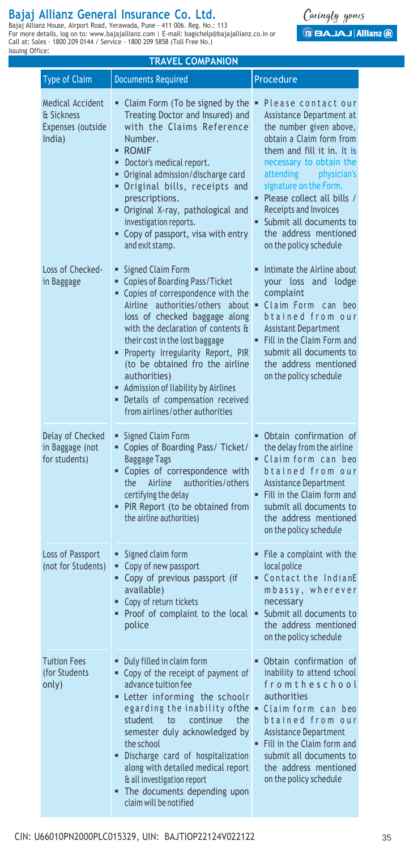**Bajaj Allianz General Insurance Co, Ltd.**<br>Bajaj Allianz House, Airport Road, Yerawada, Pune - 411 006. Reg. No.: 113<br>For more details, Iog on to: www.bajajallianz.com | E-mail: bagichelp@bajajallianz.co.in or<br>Call at: Sal Issuing Office:

Caringly yours **BAJAJ Allianz ®** 

| <b>TRAVEL COMPANION</b>                                       |                                                                                                                                                                                                                                                                                                                                                                                                                                               |                                                                                                                                                                                                                                                                                                                                                          |  |  |  |  |
|---------------------------------------------------------------|-----------------------------------------------------------------------------------------------------------------------------------------------------------------------------------------------------------------------------------------------------------------------------------------------------------------------------------------------------------------------------------------------------------------------------------------------|----------------------------------------------------------------------------------------------------------------------------------------------------------------------------------------------------------------------------------------------------------------------------------------------------------------------------------------------------------|--|--|--|--|
| <b>Type of Claim</b>                                          | <b>Documents Required</b>                                                                                                                                                                                                                                                                                                                                                                                                                     | Procedure                                                                                                                                                                                                                                                                                                                                                |  |  |  |  |
| Medical Accident<br>& Sickness<br>Expenses (outside<br>India) | ■ Claim Form (To be signed by the $\blacksquare$<br>Treating Doctor and Insured) and<br>with the Claims Reference<br>Number.<br>- ROMIF<br>· Doctor's medical report.<br>• Original admission/discharge card<br>. Original bills, receipts and<br>prescriptions.<br>Original X-ray, pathological and<br>investigation reports.<br>• Copy of passport, visa with entry<br>and exit stamp.                                                      | Please contact our<br>Assistance Department at<br>the number given above,<br>obtain a Claim form from<br>them and fill it in. It is<br>necessary to obtain the<br>attending physician's<br>signature on the Form.<br>• Please collect all bills /<br>Receipts and Invoices<br>Submit all documents to<br>the address mentioned<br>on the policy schedule |  |  |  |  |
| Loss of Checked-<br>in Baggage                                | ■ Signed Claim Form<br>Copies of Boarding Pass/Ticket<br>• Copies of correspondence with the<br>Airline authorities/others<br>loss of checked baggage along<br>with the declaration of contents &<br>their cost in the lost baggage<br>Property Irregularity Report, PIR<br>(to be obtained fro the airline<br>authorities)<br>Admission of liability by Airlines<br>· Details of compensation received<br>from airlines/other authorities    | Intimate the Airline about<br>your loss and lodge<br>complaint<br>about = Claim Form can beo<br>btained from our<br><b>Assistant Department</b><br>. Fill in the Claim Form and<br>submit all documents to<br>the address mentioned<br>on the policy schedule                                                                                            |  |  |  |  |
| Delay of Checked<br>in Baggage (not<br>for students)          | • Signed Claim Form<br>" Copies of Boarding Pass/ Ticket/<br>Baggage Tags<br>" Copies of correspondence with<br>authorities/others<br>the<br>Airline<br>certifying the delay<br>• PIR Report (to be obtained from<br>the airline authorities)                                                                                                                                                                                                 | . Obtain confirmation of<br>the delay from the airline<br>Claim form can beo<br>btained from our<br><b>Assistance Department</b><br>" Fill in the Claim form and<br>submit all documents to<br>the address mentioned<br>on the policy schedule                                                                                                           |  |  |  |  |
| Loss of Passport<br>(not for Students)                        | Signed claim form<br>٠<br>Copy of new passport<br>٠.<br>• Copy of previous passport (if<br>available)<br>• Copy of return tickets<br>• Proof of complaint to the local<br>police                                                                                                                                                                                                                                                              | • File a complaint with the<br>local police<br>Contact the IndianE<br>mbassy, wherever<br>necessary<br>Submit all documents to<br>٠.<br>the address mentioned<br>on the policy schedule                                                                                                                                                                  |  |  |  |  |
| <b>Tuition Fees</b><br>(for Students<br>only)                 | Duly filled in claim form<br>• Copy of the receipt of payment of<br>advance tuition fee<br>Letter informing the schoolr<br>egarding the inability of the $\bullet$ Claim form can beo<br>student<br>to<br>continue<br>the<br>semester duly acknowledged by<br>the school<br>Discharge card of hospitalization<br>along with detailed medical report<br>& all investigation report<br>• The documents depending upon<br>claim will be notified | . Obtain confirmation of<br>inability to attend school<br>from theschool<br>authorities<br>btained from our<br><b>Assistance Department</b><br>" Fill in the Claim form and<br>submit all documents to<br>the address mentioned<br>on the policy schedule                                                                                                |  |  |  |  |